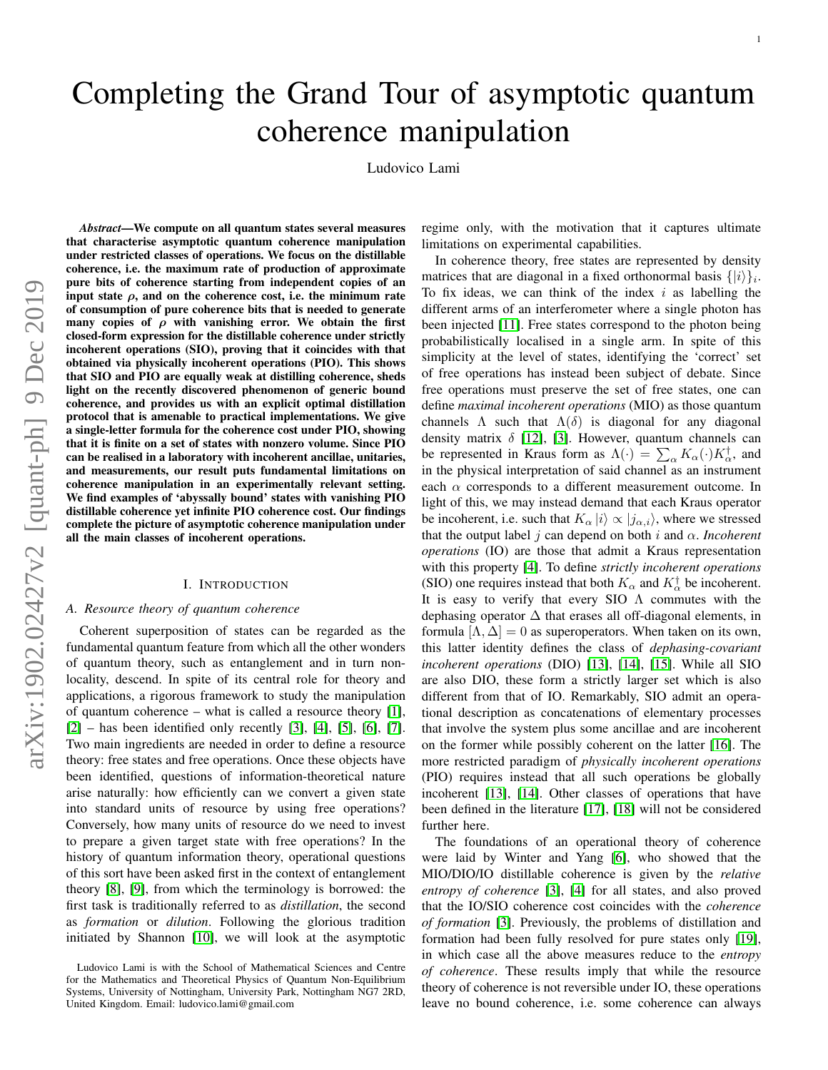# Completing the Grand Tour of asymptotic quantum coherence manipulation

Ludovico Lami

*Abstract*—We compute on all quantum states several measures that characterise asymptotic quantum coherence manipulation under restricted classes of operations. We focus on the distillable coherence, i.e. the maximum rate of production of approximate pure bits of coherence starting from independent copies of an input state  $\rho$ , and on the coherence cost, i.e. the minimum rate of consumption of pure coherence bits that is needed to generate many copies of  $\rho$  with vanishing error. We obtain the first closed-form expression for the distillable coherence under strictly incoherent operations (SIO), proving that it coincides with that obtained via physically incoherent operations (PIO). This shows that SIO and PIO are equally weak at distilling coherence, sheds light on the recently discovered phenomenon of generic bound coherence, and provides us with an explicit optimal distillation protocol that is amenable to practical implementations. We give a single-letter formula for the coherence cost under PIO, showing that it is finite on a set of states with nonzero volume. Since PIO can be realised in a laboratory with incoherent ancillae, unitaries, and measurements, our result puts fundamental limitations on coherence manipulation in an experimentally relevant setting. We find examples of 'abyssally bound' states with vanishing PIO distillable coherence yet infinite PIO coherence cost. Our findings complete the picture of asymptotic coherence manipulation under all the main classes of incoherent operations.

#### I. INTRODUCTION

# *A. Resource theory of quantum coherence*

Coherent superposition of states can be regarded as the fundamental quantum feature from which all the other wonders of quantum theory, such as entanglement and in turn nonlocality, descend. In spite of its central role for theory and applications, a rigorous framework to study the manipulation of quantum coherence – what is called a resource theory [\[1\]](#page-17-0),  $[2]$  – has been identified only recently  $[3]$ ,  $[4]$ ,  $[5]$ ,  $[6]$ ,  $[7]$ . Two main ingredients are needed in order to define a resource theory: free states and free operations. Once these objects have been identified, questions of information-theoretical nature arise naturally: how efficiently can we convert a given state into standard units of resource by using free operations? Conversely, how many units of resource do we need to invest to prepare a given target state with free operations? In the history of quantum information theory, operational questions of this sort have been asked first in the context of entanglement theory [\[8\]](#page-17-7), [\[9\]](#page-17-8), from which the terminology is borrowed: the first task is traditionally referred to as *distillation*, the second as *formation* or *dilution*. Following the glorious tradition initiated by Shannon [\[10\]](#page-17-9), we will look at the asymptotic regime only, with the motivation that it captures ultimate limitations on experimental capabilities.

In coherence theory, free states are represented by density matrices that are diagonal in a fixed orthonormal basis  $\{|i\rangle\}_i$ . To fix ideas, we can think of the index  $i$  as labelling the different arms of an interferometer where a single photon has been injected [\[11\]](#page-17-10). Free states correspond to the photon being probabilistically localised in a single arm. In spite of this simplicity at the level of states, identifying the 'correct' set of free operations has instead been subject of debate. Since free operations must preserve the set of free states, one can define *maximal incoherent operations* (MIO) as those quantum channels  $\Lambda$  such that  $\Lambda(\delta)$  is diagonal for any diagonal density matrix  $\delta$  [\[12\]](#page-17-11), [\[3\]](#page-17-2). However, quantum channels can be represented in Kraus form as  $\Lambda(\cdot) = \sum_{\alpha} K_{\alpha}(\cdot) K_{\alpha}^{\dagger}$ , and in the physical interpretation of said channel as an instrument each  $\alpha$  corresponds to a different measurement outcome. In light of this, we may instead demand that each Kraus operator be incoherent, i.e. such that  $K_{\alpha} |i\rangle \propto |j_{\alpha,i}\rangle$ , where we stressed that the output label  $j$  can depend on both  $i$  and  $\alpha$ . *Incoherent operations* (IO) are those that admit a Kraus representation with this property [\[4\]](#page-17-3). To define *strictly incoherent operations* (SIO) one requires instead that both  $K_{\alpha}$  and  $K_{\alpha}^{\dagger}$  be incoherent. It is easy to verify that every SIO  $\Lambda$  commutes with the dephasing operator  $\Delta$  that erases all off-diagonal elements, in formula  $[\Lambda, \Delta] = 0$  as superoperators. When taken on its own, this latter identity defines the class of *dephasing-covariant incoherent operations* (DIO) [\[13\]](#page-17-12), [\[14\]](#page-17-13), [\[15\]](#page-17-14). While all SIO are also DIO, these form a strictly larger set which is also different from that of IO. Remarkably, SIO admit an operational description as concatenations of elementary processes that involve the system plus some ancillae and are incoherent on the former while possibly coherent on the latter [\[16\]](#page-17-15). The more restricted paradigm of *physically incoherent operations* (PIO) requires instead that all such operations be globally incoherent [\[13\]](#page-17-12), [\[14\]](#page-17-13). Other classes of operations that have been defined in the literature [\[17\]](#page-17-16), [\[18\]](#page-17-17) will not be considered further here.

The foundations of an operational theory of coherence were laid by Winter and Yang [\[6\]](#page-17-5), who showed that the MIO/DIO/IO distillable coherence is given by the *relative entropy of coherence* [\[3\]](#page-17-2), [\[4\]](#page-17-3) for all states, and also proved that the IO/SIO coherence cost coincides with the *coherence of formation* [\[3\]](#page-17-2). Previously, the problems of distillation and formation had been fully resolved for pure states only [\[19\]](#page-17-18), in which case all the above measures reduce to the *entropy of coherence*. These results imply that while the resource theory of coherence is not reversible under IO, these operations leave no bound coherence, i.e. some coherence can always

Ludovico Lami is with the School of Mathematical Sciences and Centre for the Mathematics and Theoretical Physics of Quantum Non-Equilibrium Systems, University of Nottingham, University Park, Nottingham NG7 2RD, United Kingdom. Email: ludovico.lami@gmail.com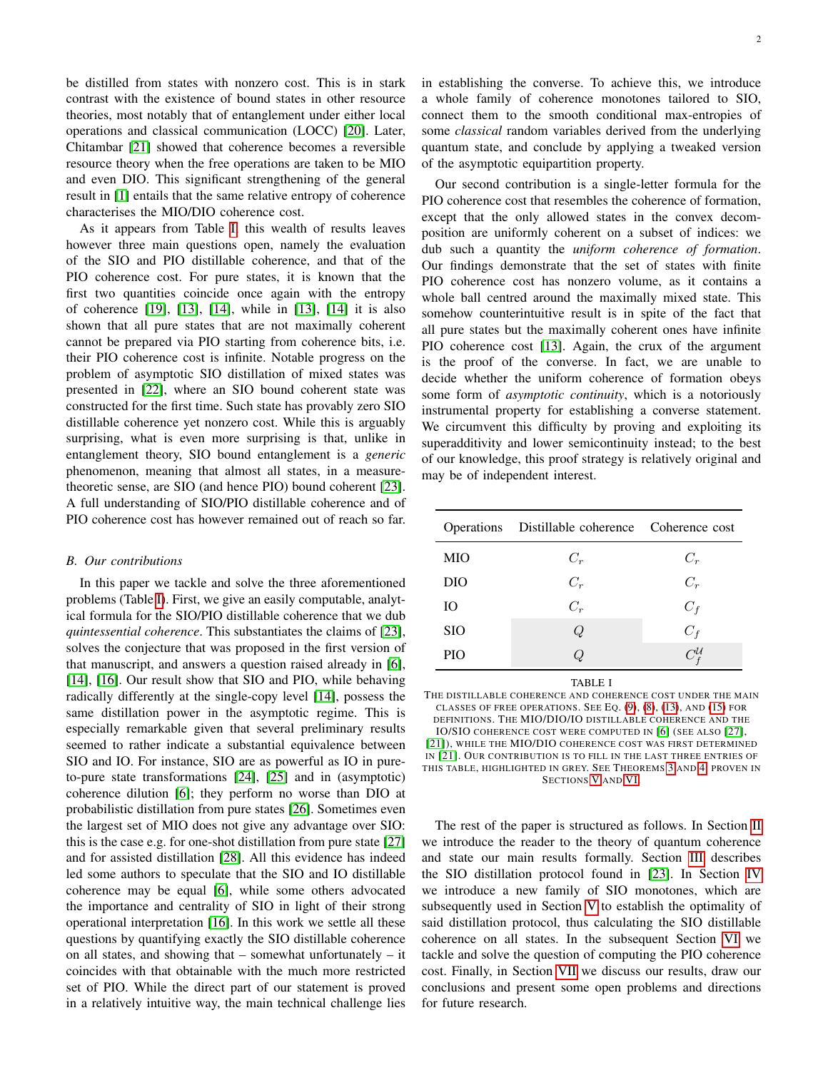be distilled from states with nonzero cost. This is in stark contrast with the existence of bound states in other resource theories, most notably that of entanglement under either local operations and classical communication (LOCC) [\[20\]](#page-17-19). Later, Chitambar [\[21\]](#page-17-20) showed that coherence becomes a reversible resource theory when the free operations are taken to be MIO and even DIO. This significant strengthening of the general result in [\[1\]](#page-17-0) entails that the same relative entropy of coherence characterises the MIO/DIO coherence cost.

As it appears from Table [I,](#page-1-0) this wealth of results leaves however three main questions open, namely the evaluation of the SIO and PIO distillable coherence, and that of the PIO coherence cost. For pure states, it is known that the first two quantities coincide once again with the entropy of coherence [\[19\]](#page-17-18), [\[13\]](#page-17-12), [\[14\]](#page-17-13), while in [\[13\]](#page-17-12), [\[14\]](#page-17-13) it is also shown that all pure states that are not maximally coherent cannot be prepared via PIO starting from coherence bits, i.e. their PIO coherence cost is infinite. Notable progress on the problem of asymptotic SIO distillation of mixed states was presented in [\[22\]](#page-17-21), where an SIO bound coherent state was constructed for the first time. Such state has provably zero SIO distillable coherence yet nonzero cost. While this is arguably surprising, what is even more surprising is that, unlike in entanglement theory, SIO bound entanglement is a *generic* phenomenon, meaning that almost all states, in a measuretheoretic sense, are SIO (and hence PIO) bound coherent [\[23\]](#page-17-22). A full understanding of SIO/PIO distillable coherence and of PIO coherence cost has however remained out of reach so far.

# *B. Our contributions*

In this paper we tackle and solve the three aforementioned problems (Table [I\)](#page-1-0). First, we give an easily computable, analytical formula for the SIO/PIO distillable coherence that we dub *quintessential coherence*. This substantiates the claims of [\[23\]](#page-17-22), solves the conjecture that was proposed in the first version of that manuscript, and answers a question raised already in [\[6\]](#page-17-5), [\[14\]](#page-17-13), [\[16\]](#page-17-15). Our result show that SIO and PIO, while behaving radically differently at the single-copy level [\[14\]](#page-17-13), possess the same distillation power in the asymptotic regime. This is especially remarkable given that several preliminary results seemed to rather indicate a substantial equivalence between SIO and IO. For instance, SIO are as powerful as IO in pureto-pure state transformations [\[24\]](#page-17-23), [\[25\]](#page-17-24) and in (asymptotic) coherence dilution [\[6\]](#page-17-5); they perform no worse than DIO at probabilistic distillation from pure states [\[26\]](#page-17-25). Sometimes even the largest set of MIO does not give any advantage over SIO: this is the case e.g. for one-shot distillation from pure state [\[27\]](#page-17-26) and for assisted distillation [\[28\]](#page-17-27). All this evidence has indeed led some authors to speculate that the SIO and IO distillable coherence may be equal [\[6\]](#page-17-5), while some others advocated the importance and centrality of SIO in light of their strong operational interpretation [\[16\]](#page-17-15). In this work we settle all these questions by quantifying exactly the SIO distillable coherence on all states, and showing that – somewhat unfortunately – it coincides with that obtainable with the much more restricted set of PIO. While the direct part of our statement is proved in a relatively intuitive way, the main technical challenge lies

2

in establishing the converse. To achieve this, we introduce a whole family of coherence monotones tailored to SIO, connect them to the smooth conditional max-entropies of some *classical* random variables derived from the underlying quantum state, and conclude by applying a tweaked version of the asymptotic equipartition property.

Our second contribution is a single-letter formula for the PIO coherence cost that resembles the coherence of formation, except that the only allowed states in the convex decomposition are uniformly coherent on a subset of indices: we dub such a quantity the *uniform coherence of formation*. Our findings demonstrate that the set of states with finite PIO coherence cost has nonzero volume, as it contains a whole ball centred around the maximally mixed state. This somehow counterintuitive result is in spite of the fact that all pure states but the maximally coherent ones have infinite PIO coherence cost [\[13\]](#page-17-12). Again, the crux of the argument is the proof of the converse. In fact, we are unable to decide whether the uniform coherence of formation obeys some form of *asymptotic continuity*, which is a notoriously instrumental property for establishing a converse statement. We circumvent this difficulty by proving and exploiting its superadditivity and lower semicontinuity instead; to the best of our knowledge, this proof strategy is relatively original and may be of independent interest.

|            | Operations Distillable coherence Coherence cost |                       |
|------------|-------------------------------------------------|-----------------------|
| MIO        | $C_r$                                           | $C_r$                 |
| DIO        | $C_r$                                           | $C_r$                 |
| IO         | $C_r$                                           | $C_f$                 |
| <b>SIO</b> | Q                                               | $C_f$                 |
| PIO        | Q                                               | $C_{I}^{\mathcal{U}}$ |

TABLE I

<span id="page-1-0"></span>THE DISTILLABLE COHERENCE AND COHERENCE COST UNDER THE MAIN CLASSES OF FREE OPERATIONS. SEE EQ. [\(9\)](#page-3-0), [\(8\)](#page-3-1), [\(13\)](#page-3-2), AND [\(15\)](#page-3-3) FOR DEFINITIONS. THE MIO/DIO/IO DISTILLABLE COHERENCE AND THE IO/SIO COHERENCE COST WERE COMPUTED IN [\[6\]](#page-17-5) (SEE ALSO [\[27\]](#page-17-26), [\[21\]](#page-17-20)), WHILE THE MIO/DIO COHERENCE COST WAS FIRST DETERMINED IN [\[21\]](#page-17-20). OUR CONTRIBUTION IS TO FILL IN THE LAST THREE ENTRIES OF THIS TABLE, HIGHLIGHTED IN GREY. SEE THEOREMS [3](#page-3-4) AND [4,](#page-3-5) PROVEN IN SECTIONS [V](#page-7-0) AND [VI.](#page-11-0)

The rest of the paper is structured as follows. In Section [II](#page-2-0) we introduce the reader to the theory of quantum coherence and state our main results formally. Section [III](#page-4-0) describes the SIO distillation protocol found in [\[23\]](#page-17-22). In Section [IV](#page-5-0) we introduce a new family of SIO monotones, which are subsequently used in Section [V](#page-7-0) to establish the optimality of said distillation protocol, thus calculating the SIO distillable coherence on all states. In the subsequent Section [VI](#page-11-0) we tackle and solve the question of computing the PIO coherence cost. Finally, in Section [VII](#page-16-0) we discuss our results, draw our conclusions and present some open problems and directions for future research.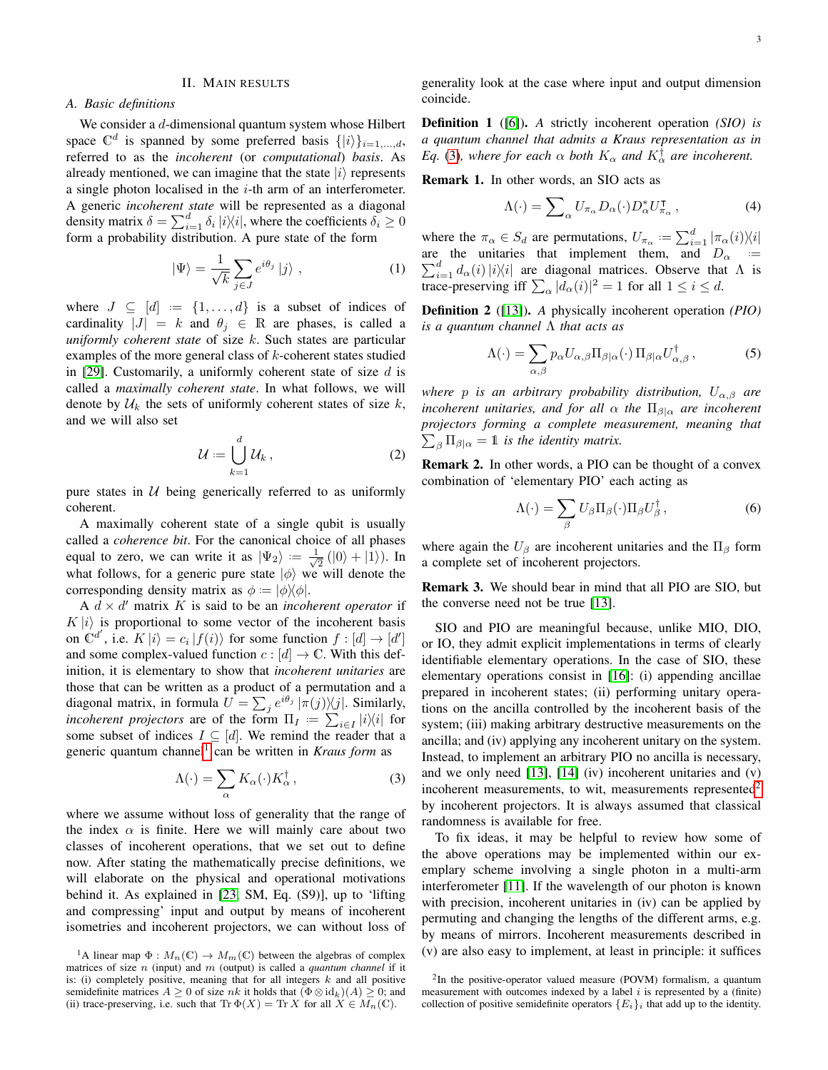# II. MAIN RESULTS

# <span id="page-2-0"></span>*A. Basic definitions*

We consider a d-dimensional quantum system whose Hilbert space  $\mathbb{C}^d$  is spanned by some preferred basis  $\{|i\rangle\}_{i=1,\dots,d}$ , referred to as the *incoherent* (or *computational*) *basis*. As already mentioned, we can imagine that the state  $|i\rangle$  represents a single photon localised in the  $i$ -th arm of an interferometer. A generic *incoherent state* will be represented as a diagonal density matrix  $\delta = \sum_{i=1}^d \delta_i |i\rangle\langle i|$ , where the coefficients  $\delta_i \ge 0$ form a probability distribution. A pure state of the form

$$
|\Psi\rangle = \frac{1}{\sqrt{k}} \sum_{j \in J} e^{i\theta_j} |j\rangle , \qquad (1)
$$

where  $J \subseteq [d] := \{1, \ldots, d\}$  is a subset of indices of cardinality  $|J| = k$  and  $\theta_j \in \mathbb{R}$  are phases, is called a *uniformly coherent state* of size k. Such states are particular examples of the more general class of  $k$ -coherent states studied in [\[29\]](#page-17-28). Customarily, a uniformly coherent state of size  $d$  is called a *maximally coherent state*. In what follows, we will denote by  $\mathcal{U}_k$  the sets of uniformly coherent states of size  $k$ , and we will also set

$$
\mathcal{U} := \bigcup_{k=1}^{d} \mathcal{U}_k , \qquad (2)
$$

pure states in  $U$  being generically referred to as uniformly coherent.

A maximally coherent state of a single qubit is usually called a *coherence bit*. For the canonical choice of all phases equal to zero, we can write it as  $|\Psi_2\rangle := \frac{1}{\sqrt{2}}$  $\frac{1}{2}$  (|0) + |1)). In what follows, for a generic pure state  $|\phi\rangle$  we will denote the corresponding density matrix as  $\phi := |\phi\rangle\langle\phi|$ .

 $A \, d \times d'$  matrix K is said to be an *incoherent operator* if  $K|i\rangle$  is proportional to some vector of the incoherent basis on  $C^{d'}$ , i.e.  $K|i\rangle = c_i |f(i)\rangle$  for some function  $f : [d] \rightarrow [d']$ and some complex-valued function  $c : [d] \to \mathbb{C}$ . With this definition, it is elementary to show that *incoherent unitaries* are those that can be written as a product of a permutation and a diagonal matrix, in formula  $U = \sum_j e^{i\theta_j} |\pi(j)\rangle\!\langle j|$ . Similarly, *incoherent projectors* are of the form  $\Pi_I := \sum_{i \in I} |i\rangle\langle i|$  for some subset of indices  $I \subseteq [d]$ . We remind the reader that a generic quantum channel<sup>[1](#page-2-1)</sup> can be written in *Kraus form* as

<span id="page-2-2"></span>
$$
\Lambda(\cdot) = \sum_{\alpha} K_{\alpha}(\cdot) K_{\alpha}^{\dagger} , \qquad (3)
$$

where we assume without loss of generality that the range of the index  $\alpha$  is finite. Here we will mainly care about two classes of incoherent operations, that we set out to define now. After stating the mathematically precise definitions, we will elaborate on the physical and operational motivations behind it. As explained in [\[23,](#page-17-22) SM, Eq. (S9)], up to 'lifting and compressing' input and output by means of incoherent isometries and incoherent projectors, we can without loss of

generality look at the case where input and output dimension coincide.

Definition 1 ([\[6\]](#page-17-5)). *A* strictly incoherent operation *(SIO) is a quantum channel that admits a Kraus representation as in Eq.* [\(3\)](#page-2-2), where for each  $\alpha$  *both*  $K_{\alpha}$  *and*  $K_{\alpha}^{\dagger}$  *are incoherent.* 

Remark 1. In other words, an SIO acts as

<span id="page-2-4"></span>
$$
\Lambda(\cdot) = \sum_{\alpha} U_{\pi_{\alpha}} D_{\alpha}(\cdot) D_{\alpha}^{*} U_{\pi_{\alpha}}^{\mathsf{T}} , \qquad (4)
$$

where the  $\pi_{\alpha} \in S_d$  are permutations,  $U_{\pi_{\alpha}} := \sum_{i=1}^d |\pi_{\alpha}(i)\rangle \langle i|$ are the unitaries that implement them, and  $D_{\alpha}$  :=  $\sum_{i=1}^{d} d_{\alpha}(i) |i\rangle\langle i|$  are diagonal matrices. Observe that  $\Lambda$  is trace-preserving iff  $\sum_{\alpha} |d_{\alpha}(i)|^2 = 1$  for all  $1 \le i \le d$ .

Definition 2 ([\[13\]](#page-17-12)). *A* physically incoherent operation *(PIO) is a quantum channel* Λ *that acts as*

<span id="page-2-6"></span>
$$
\Lambda(\cdot) = \sum_{\alpha,\beta} p_{\alpha} U_{\alpha,\beta} \Pi_{\beta|\alpha}(\cdot) \Pi_{\beta|\alpha} U_{\alpha,\beta}^{\dagger} , \qquad (5)
$$

*where* p *is an arbitrary probability distribution,* Uα,β *are incoherent unitaries, and for all*  $\alpha$  *the*  $\Pi_{\beta|\alpha}$  *are incoherent projectors forming a complete measurement, meaning that*  $\sum_{\beta} \Pi_{\beta|\alpha} = 1$  *is the identity matrix.* 

Remark 2. In other words, a PIO can be thought of a convex combination of 'elementary PIO' each acting as

<span id="page-2-5"></span>
$$
\Lambda(\cdot) = \sum_{\beta} U_{\beta} \Pi_{\beta}(\cdot) \Pi_{\beta} U_{\beta}^{\dagger}, \qquad (6)
$$

where again the  $U_{\beta}$  are incoherent unitaries and the  $\Pi_{\beta}$  form a complete set of incoherent projectors.

Remark 3. We should bear in mind that all PIO are SIO, but the converse need not be true [\[13\]](#page-17-12).

SIO and PIO are meaningful because, unlike MIO, DIO, or IO, they admit explicit implementations in terms of clearly identifiable elementary operations. In the case of SIO, these elementary operations consist in [\[16\]](#page-17-15): (i) appending ancillae prepared in incoherent states; (ii) performing unitary operations on the ancilla controlled by the incoherent basis of the system; (iii) making arbitrary destructive measurements on the ancilla; and (iv) applying any incoherent unitary on the system. Instead, to implement an arbitrary PIO no ancilla is necessary, and we only need [\[13\]](#page-17-12), [\[14\]](#page-17-13) (iv) incoherent unitaries and (v) incoherent measurements, to wit, measurements represented $2$ by incoherent projectors. It is always assumed that classical randomness is available for free.

To fix ideas, it may be helpful to review how some of the above operations may be implemented within our exemplary scheme involving a single photon in a multi-arm interferometer [\[11\]](#page-17-10). If the wavelength of our photon is known with precision, incoherent unitaries in (iv) can be applied by permuting and changing the lengths of the different arms, e.g. by means of mirrors. Incoherent measurements described in (v) are also easy to implement, at least in principle: it suffices

<span id="page-2-1"></span><sup>&</sup>lt;sup>1</sup>A linear map  $\Phi: M_n(\mathbb{C}) \to M_m(\mathbb{C})$  between the algebras of complex matrices of size n (input) and m (output) is called a *quantum channel* if it is: (i) completely positive, meaning that for all integers  $k$  and all positive semidefinite matrices  $A \geq 0$  of size nk it holds that  $(\Phi \otimes id_k)(A) \geq 0$ ; and (ii) trace-preserving, i.e. such that  $\text{Tr } \Phi(X) = \text{Tr } X$  for all  $X \in M_n(\mathbb{C})$ .

<span id="page-2-3"></span><sup>&</sup>lt;sup>2</sup>In the positive-operator valued measure (POVM) formalism, a quantum measurement with outcomes indexed by a label  $i$  is represented by a (finite) collection of positive semidefinite operators  ${E_i}_i$  that add up to the identity.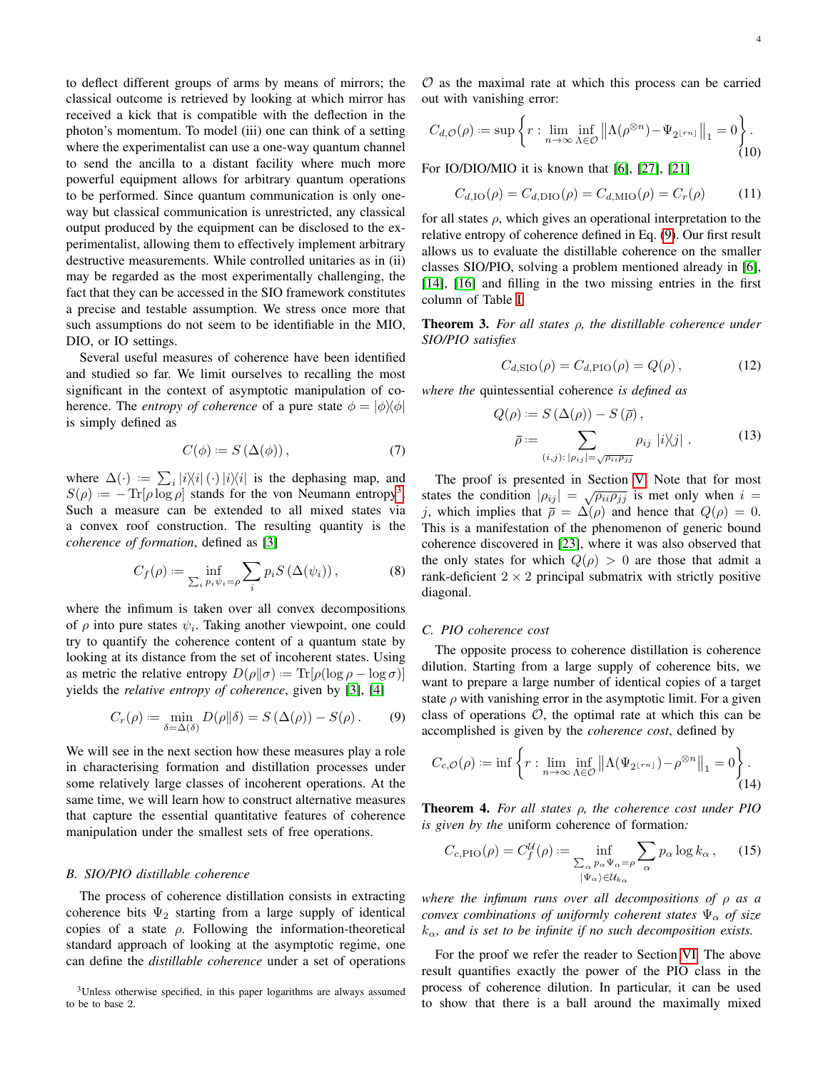to deflect different groups of arms by means of mirrors; the classical outcome is retrieved by looking at which mirror has received a kick that is compatible with the deflection in the photon's momentum. To model (iii) one can think of a setting where the experimentalist can use a one-way quantum channel to send the ancilla to a distant facility where much more powerful equipment allows for arbitrary quantum operations to be performed. Since quantum communication is only oneway but classical communication is unrestricted, any classical output produced by the equipment can be disclosed to the experimentalist, allowing them to effectively implement arbitrary destructive measurements. While controlled unitaries as in (ii) may be regarded as the most experimentally challenging, the fact that they can be accessed in the SIO framework constitutes a precise and testable assumption. We stress once more that such assumptions do not seem to be identifiable in the MIO, DIO, or IO settings.

Several useful measures of coherence have been identified and studied so far. We limit ourselves to recalling the most significant in the context of asymptotic manipulation of coherence. The *entropy of coherence* of a pure state  $\phi = |\phi\rangle\langle\phi|$ is simply defined as

$$
C(\phi) := S(\Delta(\phi)), \tag{7}
$$

where  $\Delta(\cdot) := \sum_i |i\rangle\langle i|(\cdot)|i\rangle\langle i|$  is the dephasing map, and  $S(\rho) = -\text{Tr}[\rho \log \rho]$  stands for the von Neumann entropy<sup>[3](#page-3-6)</sup>. Such a measure can be extended to all mixed states via a convex roof construction. The resulting quantity is the *coherence of formation*, defined as [\[3\]](#page-17-2)

<span id="page-3-1"></span>
$$
C_f(\rho) := \inf_{\sum_i p_i \psi_i = \rho} \sum_i p_i S\left(\Delta(\psi_i)\right),\tag{8}
$$

where the infimum is taken over all convex decompositions of  $\rho$  into pure states  $\psi_i$ . Taking another viewpoint, one could try to quantify the coherence content of a quantum state by looking at its distance from the set of incoherent states. Using as metric the relative entropy  $D(\rho||\sigma) := \text{Tr}[\rho(\log \rho - \log \sigma)]$ yields the *relative entropy of coherence*, given by [\[3\]](#page-17-2), [\[4\]](#page-17-3)

<span id="page-3-0"></span>
$$
C_r(\rho) := \min_{\delta = \Delta(\delta)} D(\rho || \delta) = S(\Delta(\rho)) - S(\rho).
$$
 (9)

We will see in the next section how these measures play a role in characterising formation and distillation processes under some relatively large classes of incoherent operations. At the same time, we will learn how to construct alternative measures that capture the essential quantitative features of coherence manipulation under the smallest sets of free operations.

## *B. SIO/PIO distillable coherence*

The process of coherence distillation consists in extracting coherence bits  $\Psi_2$  starting from a large supply of identical copies of a state  $\rho$ . Following the information-theoretical standard approach of looking at the asymptotic regime, one can define the *distillable coherence* under a set of operations

 $O$  as the maximal rate at which this process can be carried out with vanishing error:

<span id="page-3-7"></span>
$$
C_{d,\mathcal{O}}(\rho) := \sup \left\{ r : \lim_{n \to \infty} \inf_{\Lambda \in \mathcal{O}} \left\| \Lambda(\rho^{\otimes n}) - \Psi_{2^{\lfloor rn \rfloor}} \right\|_1 = 0 \right\}.
$$
\n(10)

For IO/DIO/MIO it is known that [\[6\]](#page-17-5), [\[27\]](#page-17-26), [\[21\]](#page-17-20)

<span id="page-3-8"></span>
$$
C_{d, \text{IO}}(\rho) = C_{d, \text{DIO}}(\rho) = C_{d, \text{MIO}}(\rho) = C_r(\rho) \tag{11}
$$

for all states  $\rho$ , which gives an operational interpretation to the relative entropy of coherence defined in Eq. [\(9\)](#page-3-0). Our first result allows us to evaluate the distillable coherence on the smaller classes SIO/PIO, solving a problem mentioned already in [\[6\]](#page-17-5), [\[14\]](#page-17-13), [\[16\]](#page-17-15) and filling in the two missing entries in the first column of Table [I.](#page-1-0)

<span id="page-3-4"></span>Theorem 3. *For all states* ρ*, the distillable coherence under SIO/PIO satisfies*

$$
C_{d, \text{SIO}}(\rho) = C_{d, \text{PIO}}(\rho) = Q(\rho), \qquad (12)
$$

*where the* quintessential coherence *is defined as*

<span id="page-3-2"></span>
$$
Q(\rho) := S(\Delta(\rho)) - S(\bar{\rho}),
$$
  
\n
$$
\bar{\rho} := \sum_{(i,j) : |\rho_{ij}| = \sqrt{\rho_{ii}\rho_{jj}}}
$$
\n
$$
\rho_{ij} |i\rangle\langle j|.
$$
\n(13)

The proof is presented in Section [V.](#page-7-0) Note that for most states the condition  $|\rho_{ij}| = \sqrt{\rho_{ii} \rho_{jj}}$  is met only when  $i =$ j, which implies that  $\bar{\rho} = \Delta(\rho)$  and hence that  $Q(\rho) = 0$ . This is a manifestation of the phenomenon of generic bound coherence discovered in [\[23\]](#page-17-22), where it was also observed that the only states for which  $Q(\rho) > 0$  are those that admit a rank-deficient  $2 \times 2$  principal submatrix with strictly positive diagonal.

# <span id="page-3-9"></span>*C. PIO coherence cost*

The opposite process to coherence distillation is coherence dilution. Starting from a large supply of coherence bits, we want to prepare a large number of identical copies of a target state  $\rho$  with vanishing error in the asymptotic limit. For a given class of operations  $\mathcal{O}$ , the optimal rate at which this can be accomplished is given by the *coherence cost*, defined by

<span id="page-3-10"></span>
$$
C_{c,O}(\rho) := \inf \left\{ r : \lim_{n \to \infty} \inf_{\Lambda \in \mathcal{O}} \left\| \Lambda(\Psi_{2^{\lfloor rn \rfloor}}) - \rho^{\otimes n} \right\|_1 = 0 \right\}.
$$
\n(14)

<span id="page-3-5"></span>Theorem 4. *For all states* ρ*, the coherence cost under PIO is given by the* uniform coherence of formation*:*

<span id="page-3-3"></span>
$$
C_{c,\text{PIO}}(\rho) = C_f^{\mathcal{U}}(\rho) := \inf_{\substack{\sum_{\alpha} p_{\alpha} \Psi_{\alpha} = \rho \\ |\Psi_{\alpha}\rangle \in \mathcal{U}_{k_{\alpha}}}} \sum_{\alpha} p_{\alpha} \log k_{\alpha}, \qquad (15)
$$

*where the infimum runs over all decompositions of* ρ *as a convex combinations of uniformly coherent states* Ψ<sup>α</sup> *of size*  $k_{\alpha}$ , and is set to be infinite if no such decomposition exists.

For the proof we refer the reader to Section [VI.](#page-11-0) The above result quantifies exactly the power of the PIO class in the process of coherence dilution. In particular, it can be used to show that there is a ball around the maximally mixed

<span id="page-3-6"></span><sup>3</sup>Unless otherwise specified, in this paper logarithms are always assumed to be to base 2.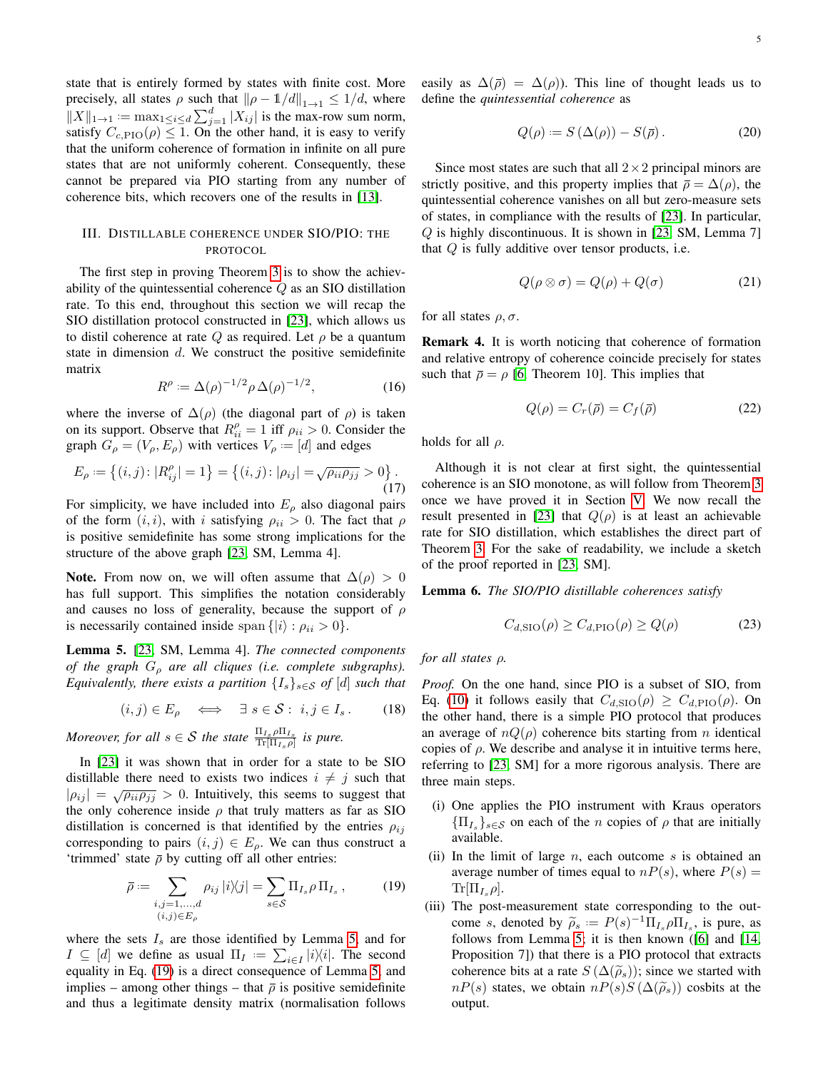state that is entirely formed by states with finite cost. More precisely, all states  $\rho$  such that  $\|\rho - \mathbb{1}/d\|_{1\to 1} \leq 1/d$ , where  $||X||_{1\rightarrow 1} := \max_{1 \leq i \leq d} \sum_{j=1}^d |X_{ij}|$  is the max-row sum norm, satisfy  $C_{c,\text{PIO}}(\rho) \leq 1$ . On the other hand, it is easy to verify that the uniform coherence of formation in infinite on all pure states that are not uniformly coherent. Consequently, these cannot be prepared via PIO starting from any number of coherence bits, which recovers one of the results in [\[13\]](#page-17-12).

# <span id="page-4-0"></span>III. DISTILLABLE COHERENCE UNDER SIO/PIO: THE PROTOCOL

The first step in proving Theorem [3](#page-3-4) is to show the achievability of the quintessential coherence Q as an SIO distillation rate. To this end, throughout this section we will recap the SIO distillation protocol constructed in [\[23\]](#page-17-22), which allows us to distil coherence at rate Q as required. Let  $\rho$  be a quantum state in dimension  $d$ . We construct the positive semidefinite matrix

<span id="page-4-4"></span>
$$
R^{\rho} := \Delta(\rho)^{-1/2} \rho \,\Delta(\rho)^{-1/2},\tag{16}
$$

where the inverse of  $\Delta(\rho)$  (the diagonal part of  $\rho$ ) is taken on its support. Observe that  $R_{ii}^{\rho} = 1$  iff  $\rho_{ii} > 0$ . Consider the graph  $G_{\rho} = (V_{\rho}, E_{\rho})$  with vertices  $V_{\rho} := [d]$  and edges

$$
E_{\rho} := \{(i, j) : |R_{ij}^{\rho}| = 1\} = \{(i, j) : |\rho_{ij}| = \sqrt{\rho_{ii} \rho_{jj}} > 0\}.
$$
\n(17)

For simplicity, we have included into  $E_{\rho}$  also diagonal pairs of the form  $(i, i)$ , with i satisfying  $\rho_{ii} > 0$ . The fact that  $\rho$ is positive semidefinite has some strong implications for the structure of the above graph [\[23,](#page-17-22) SM, Lemma 4].

Note. From now on, we will often assume that  $\Delta(\rho) > 0$ has full support. This simplifies the notation considerably and causes no loss of generality, because the support of  $\rho$ is necessarily contained inside span  $\{|i\rangle : \rho_{ii} > 0\}.$ 

<span id="page-4-1"></span>Lemma 5. [\[23,](#page-17-22) SM, Lemma 4]. *The connected components of the graph* G<sup>ρ</sup> *are all cliques (i.e. complete subgraphs). Equivalently, there exists a partition*  $\{I_s\}_{s\in\mathcal{S}}$  *of*  $[d]$  *such that* 

$$
(i,j) \in E_{\rho} \iff \exists s \in \mathcal{S}: i,j \in I_s. \tag{18}
$$

*Moreover, for all*  $s \in S$  *the state*  $\frac{\Pi_{I_s}}{\text{Tr}[\Pi_{I_s}\rho]}$  *is pure.* 

In [\[23\]](#page-17-22) it was shown that in order for a state to be SIO distillable there need to exists two indices  $i \neq j$  such that  $|\rho_{ij}| = \sqrt{\rho_{ii} \rho_{jj}} > 0$ . Intuitively, this seems to suggest that the only coherence inside  $\rho$  that truly matters as far as SIO distillation is concerned is that identified by the entries  $\rho_{ij}$ corresponding to pairs  $(i, j) \in E_\rho$ . We can thus construct a 'trimmed' state  $\bar{\rho}$  by cutting off all other entries:

<span id="page-4-2"></span>
$$
\bar{\rho} := \sum_{\substack{i,j=1,\dots,d\\(i,j)\in E_{\rho}}} \rho_{ij} |i\rangle\langle j| = \sum_{s\in\mathcal{S}} \Pi_{I_s} \rho \Pi_{I_s}, \qquad (19)
$$

where the sets  $I_s$  are those identified by Lemma [5,](#page-4-1) and for  $I \subseteq [d]$  we define as usual  $\Pi_I := \sum_{i \in I} |i\rangle\langle i|$ . The second equality in Eq. [\(19\)](#page-4-2) is a direct consequence of Lemma [5,](#page-4-1) and implies – among other things – that  $\bar{\rho}$  is positive semidefinite and thus a legitimate density matrix (normalisation follows easily as  $\Delta(\bar{\rho}) = \Delta(\rho)$ . This line of thought leads us to define the *quintessential coherence* as

<span id="page-4-5"></span>
$$
Q(\rho) := S(\Delta(\rho)) - S(\bar{\rho}). \tag{20}
$$

Since most states are such that all  $2 \times 2$  principal minors are strictly positive, and this property implies that  $\bar{\rho} = \Delta(\rho)$ , the quintessential coherence vanishes on all but zero-measure sets of states, in compliance with the results of [\[23\]](#page-17-22). In particular, Q is highly discontinuous. It is shown in [\[23,](#page-17-22) SM, Lemma 7] that  $Q$  is fully additive over tensor products, i.e.

<span id="page-4-3"></span>
$$
Q(\rho \otimes \sigma) = Q(\rho) + Q(\sigma) \tag{21}
$$

for all states  $\rho, \sigma$ .

<span id="page-4-8"></span>Remark 4. It is worth noticing that coherence of formation and relative entropy of coherence coincide precisely for states such that  $\bar{\rho} = \rho$  [\[6,](#page-17-5) Theorem 10]. This implies that

<span id="page-4-7"></span>
$$
Q(\rho) = C_r(\bar{\rho}) = C_f(\bar{\rho}) \tag{22}
$$

holds for all  $\rho$ .

Although it is not clear at first sight, the quintessential coherence is an SIO monotone, as will follow from Theorem [3](#page-3-4) once we have proved it in Section [V.](#page-7-0) We now recall the result presented in [\[23\]](#page-17-22) that  $Q(\rho)$  is at least an achievable rate for SIO distillation, which establishes the direct part of Theorem [3.](#page-3-4) For the sake of readability, we include a sketch of the proof reported in [\[23,](#page-17-22) SM].

<span id="page-4-6"></span>Lemma 6. *The SIO/PIO distillable coherences satisfy*

$$
C_{d, \text{SIO}}(\rho) \ge C_{d, \text{PIO}}(\rho) \ge Q(\rho) \tag{23}
$$

*for all states* ρ*.*

*Proof.* On the one hand, since PIO is a subset of SIO, from Eq. [\(10\)](#page-3-7) it follows easily that  $C_{d, \text{SIO}}(\rho) \geq C_{d, \text{PIO}}(\rho)$ . On the other hand, there is a simple PIO protocol that produces an average of  $nQ(\rho)$  coherence bits starting from n identical copies of  $\rho$ . We describe and analyse it in intuitive terms here, referring to [\[23,](#page-17-22) SM] for a more rigorous analysis. There are three main steps.

- (i) One applies the PIO instrument with Kraus operators  ${\{\Pi_{I_s}\}}_{s\in\mathcal{S}}$  on each of the *n* copies of  $\rho$  that are initially available.
- (ii) In the limit of large  $n$ , each outcome  $s$  is obtained an average number of times equal to  $nP(s)$ , where  $P(s)$  =  $\text{Tr}[\Pi_{I_s} \rho].$
- (iii) The post-measurement state corresponding to the outcome s, denoted by  $\tilde{\rho}_s := P(s)^{-1} \Pi_{I_s} \rho \Pi_{I_s}$ , is pure, as follows from I emma 5; it is then known ([6] and [14] follows from Lemma [5;](#page-4-1) it is then known ([\[6\]](#page-17-5) and [\[14,](#page-17-13) Proposition 7]) that there is a PIO protocol that extracts coherence bits at a rate  $S(\Delta(\widetilde{\rho}_s))$ ; since we started with  $nP(s)$  states, we obtain  $nP(s)S(\Delta(\widetilde{\rho}_s))$  cosbits at the output.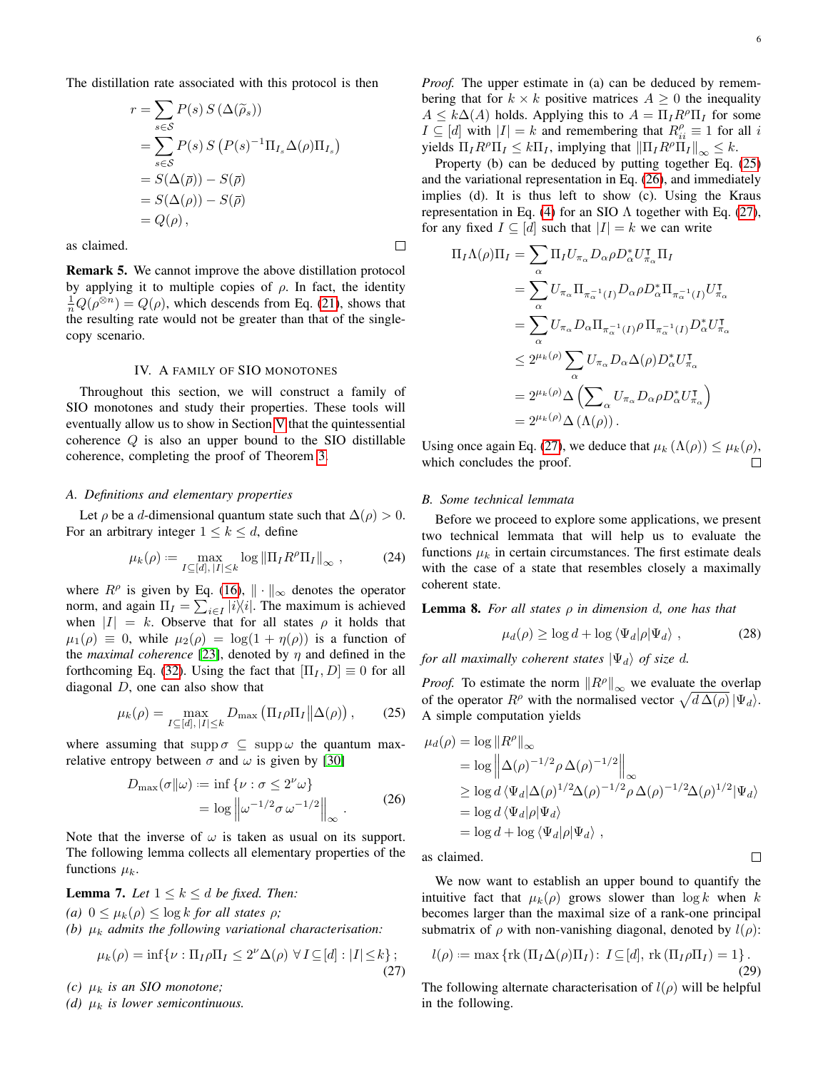$\Box$ 

The distillation rate associated with this protocol is then

$$
r = \sum_{s \in S} P(s) S(\Delta(\widetilde{\rho}_s))
$$
  
= 
$$
\sum_{s \in S} P(s) S(P(s)^{-1} \Pi_{I_s} \Delta(\rho) \Pi_{I_s})
$$
  
= 
$$
S(\Delta(\overline{\rho})) - S(\overline{\rho})
$$
  
= 
$$
S(\Delta(\rho)) - S(\overline{\rho})
$$
  
= 
$$
Q(\rho),
$$

as claimed.

Remark 5. We cannot improve the above distillation protocol by applying it to multiple copies of  $\rho$ . In fact, the identity  $\frac{1}{n}Q(\rho^{\otimes n}) = Q(\rho)$ , which descends from Eq. [\(21\)](#page-4-3), shows that the resulting rate would not be greater than that of the singlecopy scenario.

## IV. A FAMILY OF SIO MONOTONES

<span id="page-5-0"></span>Throughout this section, we will construct a family of SIO monotones and study their properties. These tools will eventually allow us to show in Section [V](#page-7-0) that the quintessential coherence Q is also an upper bound to the SIO distillable coherence, completing the proof of Theorem [3.](#page-3-4)

### *A. Definitions and elementary properties*

Let  $\rho$  be a d-dimensional quantum state such that  $\Delta(\rho) > 0$ . For an arbitrary integer  $1 \leq k \leq d$ , define

<span id="page-5-6"></span>
$$
\mu_k(\rho) := \max_{I \subseteq [d], \, |I| \le k} \log \|\Pi_I R^{\rho} \Pi_I\|_{\infty} ,\qquad (24)
$$

where  $R^{\rho}$  is given by Eq. [\(16\)](#page-4-4),  $\|\cdot\|_{\infty}$  denotes the operator norm, and again  $\Pi_I = \sum_{i \in I} |i\rangle\langle i|$ . The maximum is achieved when  $|I| = k$ . Observe that for all states  $\rho$  it holds that  $\mu_1(\rho) \equiv 0$ , while  $\mu_2(\rho) = \log(1 + \eta(\rho))$  is a function of the *maximal coherence* [\[23\]](#page-17-22), denoted by  $\eta$  and defined in the forthcoming Eq. [\(32\)](#page-6-0). Using the fact that  $[\Pi_I, D] \equiv 0$  for all diagonal D, one can also show that

<span id="page-5-1"></span>
$$
\mu_k(\rho) = \max_{I \subseteq [d], \, |I| \le k} D_{\text{max}} \left( \prod_I \rho \prod_I \left\| \Delta(\rho) \right), \right) \tag{25}
$$

where assuming that supp  $\sigma \subseteq \text{supp}\,\omega$  the quantum maxrelative entropy between  $\sigma$  and  $\omega$  is given by [\[30\]](#page-17-29)

<span id="page-5-2"></span>
$$
D_{\max}(\sigma||\omega) := \inf \{ \nu : \sigma \le 2^{\nu} \omega \}
$$
  
=  $\log \left\| \omega^{-1/2} \sigma \omega^{-1/2} \right\|_{\infty}$ . (26)

Note that the inverse of  $\omega$  is taken as usual on its support. The following lemma collects all elementary properties of the functions  $\mu_k$ .

<span id="page-5-5"></span>**Lemma 7.** Let 
$$
1 \leq k \leq d
$$
 be fixed. Then

*(a)*  $0 \leq \mu_k(\rho) \leq \log k$  *for all states*  $\rho$ *;* 

*(b)*  $\mu_k$  *admits the following variational characterisation:* 

<span id="page-5-3"></span>
$$
\mu_k(\rho) = \inf \{ \nu : \Pi_I \rho \Pi_I \le 2^{\nu} \Delta(\rho) \,\,\forall \, I \subseteq [d] : |I| \le k \};\tag{27}
$$

 $(c)$   $\mu_k$  *is an SIO monotone*;

*(d)*  $\mu_k$  *is lower semicontinuous.* 

*Proof.* The upper estimate in (a) can be deduced by remembering that for  $k \times k$  positive matrices  $A > 0$  the inequality  $A \leq k\Delta(A)$  holds. Applying this to  $A = \prod_I R^\rho \Pi_I$  for some  $I \subseteq [d]$  with  $|I| = k$  and remembering that  $R_{ii}^{\rho} \equiv 1$  for all i yields  $\Pi_I R^\rho \Pi_I \leq k \Pi_I$ , implying that  $\|\Pi_I R^\rho \Pi_I\|_\infty \leq k$ .

Property (b) can be deduced by putting together Eq. [\(25\)](#page-5-1) and the variational representation in Eq. [\(26\)](#page-5-2), and immediately implies (d). It is thus left to show (c). Using the Kraus representation in Eq. [\(4\)](#page-2-4) for an SIO  $\Lambda$  together with Eq. [\(27\)](#page-5-3), for any fixed  $I \subseteq [d]$  such that  $|I| = k$  we can write

$$
\Pi_I \Lambda(\rho) \Pi_I = \sum_{\alpha} \Pi_I U_{\pi_{\alpha}} D_{\alpha} \rho D_{\alpha}^* U_{\pi_{\alpha}}^{\mathsf{T}} \Pi_I
$$
  
\n
$$
= \sum_{\alpha} U_{\pi_{\alpha}} \Pi_{\pi_{\alpha}^{-1}(I)} D_{\alpha} \rho D_{\alpha}^* \Pi_{\pi_{\alpha}^{-1}(I)} U_{\pi_{\alpha}}^{\mathsf{T}}
$$
  
\n
$$
= \sum_{\alpha} U_{\pi_{\alpha}} D_{\alpha} \Pi_{\pi_{\alpha}^{-1}(I)} \rho \Pi_{\pi_{\alpha}^{-1}(I)} D_{\alpha}^* U_{\pi_{\alpha}}^{\mathsf{T}}
$$
  
\n
$$
\leq 2^{\mu_k(\rho)} \sum_{\alpha} U_{\pi_{\alpha}} D_{\alpha} \Delta(\rho) D_{\alpha}^* U_{\pi_{\alpha}}^{\mathsf{T}}
$$
  
\n
$$
= 2^{\mu_k(\rho)} \Delta \left( \sum_{\alpha} U_{\pi_{\alpha}} D_{\alpha} \rho D_{\alpha}^* U_{\pi_{\alpha}}^{\mathsf{T}} \right)
$$
  
\n
$$
= 2^{\mu_k(\rho)} \Delta \left( \Lambda(\rho) \right).
$$

Using once again Eq. [\(27\)](#page-5-3), we deduce that  $\mu_k(\Lambda(\rho)) \leq \mu_k(\rho)$ , which concludes the proof.  $\Box$ 

## *B. Some technical lemmata*

 $\Box$ 

Before we proceed to explore some applications, we present two technical lemmata that will help us to evaluate the functions  $\mu_k$  in certain circumstances. The first estimate deals with the case of a state that resembles closely a maximally coherent state.

<span id="page-5-7"></span>Lemma 8. *For all states* ρ *in dimension* d*, one has that*

$$
\mu_d(\rho) \ge \log d + \log \langle \Psi_d | \rho | \Psi_d \rangle , \qquad (28)
$$

*for all maximally coherent states*  $|\Psi_d\rangle$  *of size d.* 

*Proof.* To estimate the norm  $\left\|R^{\rho}\right\|_{\infty}$  we evaluate the overlap of the operator  $R^{\rho}$  with the normalised vector  $\sqrt{d \Delta(\rho)} |\Psi_d\rangle$ . A simple computation yields

$$
\mu_d(\rho) = \log ||R^{\rho}||_{\infty}
$$
  
=  $\log ||\Delta(\rho)^{-1/2} \rho \Delta(\rho)^{-1/2}||_{\infty}$   
 $\ge \log d \langle \Psi_d | \Delta(\rho)^{1/2} \Delta(\rho)^{-1/2} \rho \Delta(\rho)^{-1/2} \Delta(\rho)^{1/2} |\Psi_d \rangle$   
=  $\log d \langle \Psi_d | \rho | \Psi_d \rangle$   
=  $\log d + \log \langle \Psi_d | \rho | \Psi_d \rangle$ ,

as claimed.

We now want to establish an upper bound to quantify the intuitive fact that  $\mu_k(\rho)$  grows slower than  $\log k$  when k becomes larger than the maximal size of a rank-one principal submatrix of  $\rho$  with non-vanishing diagonal, denoted by  $l(\rho)$ :

<span id="page-5-4"></span>
$$
l(\rho) := \max \left\{ \text{rk} \left( \Pi_I \Delta(\rho) \Pi_I \right) : I \subseteq [d], \text{rk} \left( \Pi_I \rho \Pi_I \right) = 1 \right\}.
$$
\n(29)

The following alternate characterisation of  $l(\rho)$  will be helpful in the following.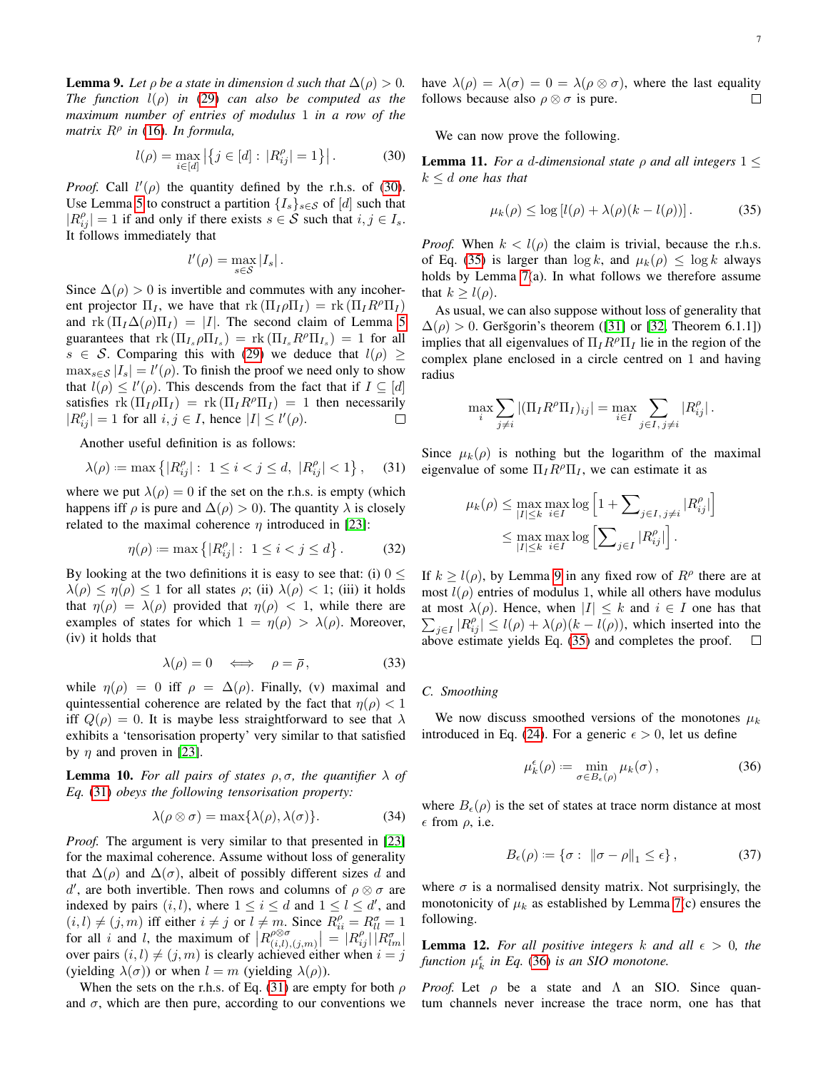<span id="page-6-4"></span>**Lemma 9.** Let  $\rho$  be a state in dimension d such that  $\Delta(\rho) > 0$ . *The function* l(ρ) *in* [\(29\)](#page-5-4) *can also be computed as the maximum number of entries of modulus* 1 *in a row of the matrix* R<sup>ρ</sup> *in* [\(16\)](#page-4-4)*. In formula,*

<span id="page-6-1"></span>
$$
l(\rho) = \max_{i \in [d]} |\{j \in [d] : |R_{ij}^{\rho}| = 1\}|.
$$
 (30)

*Proof.* Call  $l'(\rho)$  the quantity defined by the r.h.s. of [\(30\)](#page-6-1). Use Lemma [5](#page-4-1) to construct a partition  $\{I_s\}_{s\in\mathcal{S}}$  of [d] such that  $|R_{ij}^{\rho}| = 1$  if and only if there exists  $s \in S$  such that  $i, j \in I_s$ . It follows immediately that

$$
l'(\rho) = \max_{s \in \mathcal{S}} |I_s|.
$$

Since  $\Delta(\rho) > 0$  is invertible and commutes with any incoherent projector  $\Pi_I$ , we have that  $\text{rk}(\Pi_I \rho \Pi_I) = \text{rk}(\Pi_I R^\rho \Pi_I)$ and rk  $(\Pi_I \Delta(\rho) \Pi_I) = |I|$ . The second claim of Lemma [5](#page-4-1) guarantees that  $\text{rk}(\Pi_{I_s}\rho\Pi_{I_s}) = \text{rk}(\Pi_{I_s}R^{\rho}\Pi_{I_s}) = 1$  for all  $s \in S$ . Comparing this with [\(29\)](#page-5-4) we deduce that  $l(\rho) \geq$  $\max_{s \in \mathcal{S}} |I_s| = l'(\rho)$ . To finish the proof we need only to show that  $l(\rho) \leq l'(\rho)$ . This descends from the fact that if  $I \subseteq [d]$ satisfies  $\text{rk}(\Pi_I \rho \Pi_I) = \text{rk}(\Pi_I R^{\rho} \Pi_I) = 1$  then necessarily  $|R_{ij}^{\rho}| = 1$  for all  $i, j \in I$ , hence  $|I| \leq l'(\rho)$ .  $\Box$ 

Another useful definition is as follows:

<span id="page-6-2"></span>
$$
\lambda(\rho) := \max \left\{ |R^{\rho}_{ij}| : 1 \le i < j \le d, \ |R^{\rho}_{ij}| < 1 \right\}, \tag{31}
$$

where we put  $\lambda(\rho) = 0$  if the set on the r.h.s. is empty (which happens iff  $\rho$  is pure and  $\Delta(\rho) > 0$ ). The quantity  $\lambda$  is closely related to the maximal coherence  $\eta$  introduced in [\[23\]](#page-17-22):

<span id="page-6-0"></span>
$$
\eta(\rho) := \max\left\{ |R_{ij}^{\rho}| : 1 \le i < j \le d \right\}.
$$
\n(32)

By looking at the two definitions it is easy to see that: (i)  $0 \le$  $\lambda(\rho) \leq \eta(\rho) \leq 1$  for all states  $\rho$ ; (ii)  $\lambda(\rho) < 1$ ; (iii) it holds that  $\eta(\rho) = \lambda(\rho)$  provided that  $\eta(\rho) < 1$ , while there are examples of states for which  $1 = \eta(\rho) > \lambda(\rho)$ . Moreover, (iv) it holds that

<span id="page-6-9"></span>
$$
\lambda(\rho) = 0 \iff \rho = \bar{\rho}, \tag{33}
$$

while  $\eta(\rho) = 0$  iff  $\rho = \Delta(\rho)$ . Finally, (v) maximal and quintessential coherence are related by the fact that  $\eta(\rho) < 1$ iff  $Q(\rho) = 0$ . It is maybe less straightforward to see that  $\lambda$ exhibits a 'tensorisation property' very similar to that satisfied by  $\eta$  and proven in [\[23\]](#page-17-22).

<span id="page-6-8"></span>**Lemma 10.** For all pairs of states  $\rho$ ,  $\sigma$ , the quantifier  $\lambda$  of *Eq.* [\(31\)](#page-6-2) *obeys the following tensorisation property:*

$$
\lambda(\rho \otimes \sigma) = \max\{\lambda(\rho), \lambda(\sigma)\}.
$$
 (34)

*Proof.* The argument is very similar to that presented in [\[23\]](#page-17-22) for the maximal coherence. Assume without loss of generality that  $\Delta(\rho)$  and  $\Delta(\sigma)$ , albeit of possibly different sizes d and d', are both invertible. Then rows and columns of  $\rho \otimes \sigma$  are indexed by pairs  $(i, l)$ , where  $1 \le i \le d$  and  $1 \le l \le d'$ , and  $(i, l) \neq (j, m)$  iff either  $i \neq j$  or  $l \neq m$ . Since  $R_{ii}^{\rho} = R_{ll}^{\sigma} = 1$ for all i and l, the maximum of  $\big| R^{\rho \otimes \sigma}_{(i,l)} \big|$  $\left| \begin{array}{c} \rho \otimes \sigma \ (i,l),(j,m) \end{array} \right| \ = \left| R^{\rho}_{ij} \right| \left| R^{\sigma}_{lm} \right|$ over pairs  $(i, l) \neq (j, m)$  is clearly achieved either when  $i = j$ (yielding  $\lambda(\sigma)$ ) or when  $l = m$  (yielding  $\lambda(\rho)$ ).

When the sets on the r.h.s. of Eq. [\(31\)](#page-6-2) are empty for both  $\rho$ and  $\sigma$ , which are then pure, according to our conventions we have  $\lambda(\rho) = \lambda(\sigma) = 0 = \lambda(\rho \otimes \sigma)$ , where the last equality follows because also  $\rho \otimes \sigma$  is pure.  $\Box$ 

We can now prove the following.

<span id="page-6-7"></span>**Lemma 11.** *For a d-dimensional state*  $\rho$  *and all integers*  $1 \leq$  $k \leq d$  *one has that* 

<span id="page-6-3"></span>
$$
\mu_k(\rho) \le \log \left[l(\rho) + \lambda(\rho)(k - l(\rho))\right].\tag{35}
$$

*Proof.* When  $k < l(\rho)$  the claim is trivial, because the r.h.s. of Eq. [\(35\)](#page-6-3) is larger than  $\log k$ , and  $\mu_k(\rho) \leq \log k$  always holds by Lemma [7\(](#page-5-5)a). In what follows we therefore assume that  $k > l(\rho)$ .

As usual, we can also suppose without loss of generality that  $\Delta(\rho) > 0$ . Geršgorin's theorem ([\[31\]](#page-17-30) or [\[32,](#page-17-31) Theorem 6.1.1]) implies that all eigenvalues of  $\Pi_I R^\rho \Pi_I$  lie in the region of the complex plane enclosed in a circle centred on 1 and having radius

$$
\max_{i} \sum_{j \neq i} |(\Pi_I R^{\rho} \Pi_I)_{ij}| = \max_{i \in I} \sum_{j \in I, j \neq i} |R^{\rho}_{ij}|.
$$

Since  $\mu_k(\rho)$  is nothing but the logarithm of the maximal eigenvalue of some  $\Pi_I R^{\rho} \Pi_I$ , we can estimate it as

$$
\mu_k(\rho) \le \max_{|I| \le k} \max_{i \in I} \log \left[ 1 + \sum_{j \in I, j \ne i} |R_{ij}^{\rho}| \right]
$$
  

$$
\le \max_{|I| \le k} \max_{i \in I} \log \left[ \sum_{j \in I} |R_{ij}^{\rho}| \right].
$$

If  $k \ge l(\rho)$ , by Lemma [9](#page-6-4) in any fixed row of  $R^{\rho}$  there are at most  $l(\rho)$  entries of modulus 1, while all others have modulus at most  $\lambda(\rho)$ . Hence, when  $|I| \leq k$  and  $i \in I$  one has that  $\sum_{j\in I} |R_{ij}^{\rho}| \le l(\rho) + \lambda(\rho)(k-l(\rho))$ , which inserted into the above estimate yields Eq. [\(35\)](#page-6-3) and completes the proof.

## *C. Smoothing*

We now discuss smoothed versions of the monotones  $\mu_k$ introduced in Eq. [\(24\)](#page-5-6). For a generic  $\epsilon > 0$ , let us define

<span id="page-6-5"></span>
$$
\mu_k^{\epsilon}(\rho) := \min_{\sigma \in B_{\epsilon}(\rho)} \mu_k(\sigma), \qquad (36)
$$

where  $B_{\epsilon}(\rho)$  is the set of states at trace norm distance at most  $\epsilon$  from  $\rho$ , i.e.

<span id="page-6-6"></span>
$$
B_{\epsilon}(\rho) := \{ \sigma : \|\sigma - \rho\|_{1} \le \epsilon \},\tag{37}
$$

where  $\sigma$  is a normalised density matrix. Not surprisingly, the monotonicity of  $\mu_k$  as established by Lemma [7\(](#page-5-5)c) ensures the following.

**Lemma 12.** For all positive integers k and all  $\epsilon > 0$ , the function  $\mu_k^{\epsilon}$  in Eq. [\(36\)](#page-6-5) is an SIO monotone.

*Proof.* Let  $\rho$  be a state and  $\Lambda$  an SIO. Since quantum channels never increase the trace norm, one has that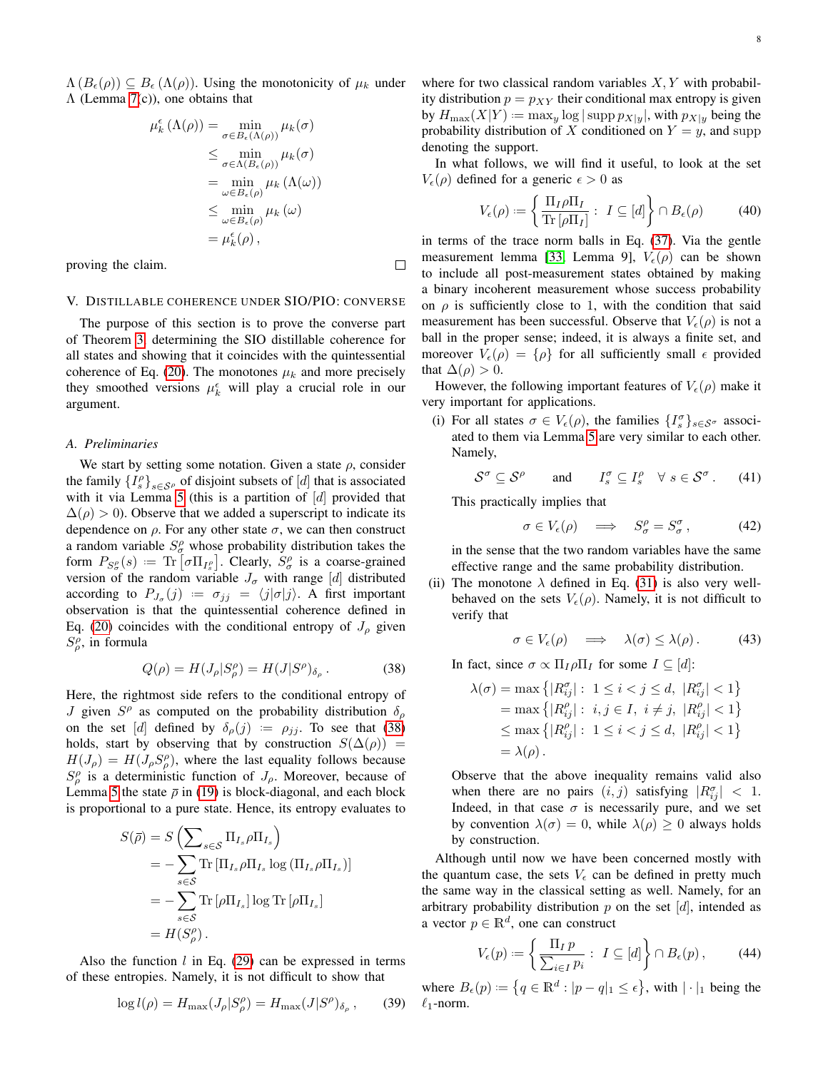$\Lambda(B_{\epsilon}(\rho)) \subseteq B_{\epsilon}(\Lambda(\rho))$ . Using the monotonicity of  $\mu_k$  under Λ (Lemma [7\(](#page-5-5)c)), one obtains that

$$
\mu_k^{\epsilon}(\Lambda(\rho)) = \min_{\sigma \in B_{\epsilon}(\Lambda(\rho))} \mu_k(\sigma)
$$
  
\n
$$
\leq \min_{\sigma \in \Lambda(B_{\epsilon}(\rho))} \mu_k(\sigma)
$$
  
\n
$$
= \min_{\omega \in B_{\epsilon}(\rho)} \mu_k(\Lambda(\omega))
$$
  
\n
$$
\leq \min_{\omega \in B_{\epsilon}(\rho)} \mu_k(\omega)
$$
  
\n
$$
= \mu_k^{\epsilon}(\rho),
$$

 $\Box$ 

proving the claim.

#### <span id="page-7-0"></span>V. DISTILLABLE COHERENCE UNDER SIO/PIO: CONVERSE

The purpose of this section is to prove the converse part of Theorem [3,](#page-3-4) determining the SIO distillable coherence for all states and showing that it coincides with the quintessential coherence of Eq. [\(20\)](#page-4-5). The monotones  $\mu_k$  and more precisely they smoothed versions  $\mu_k^{\epsilon}$  will play a crucial role in our argument.

# *A. Preliminaries*

We start by setting some notation. Given a state  $\rho$ , consider the family  ${I_s^{\rho}}_{s \in S^{\rho}}$  of disjoint subsets of [*d*] that is associated with it via Lemma [5](#page-4-1) (this is a partition of  $[d]$  provided that  $\Delta(\rho) > 0$ ). Observe that we added a superscript to indicate its dependence on  $\rho$ . For any other state  $\sigma$ , we can then construct a random variable  $S^{\rho}_{\sigma}$  whose probability distribution takes the form  $P_{S_{\sigma}^{\rho}}(s) := \text{Tr} [\sigma \Pi_{I_{s}^{\rho}}]$ . Clearly,  $S_{\sigma}^{\rho}$  is a coarse-grained version of the random variable  $J_{\sigma}$  with range [d] distributed according to  $P_{J_{\sigma}}(j) := \sigma_{jj} = \langle j | \sigma | j \rangle$ . A first important observation is that the quintessential coherence defined in Eq. [\(20\)](#page-4-5) coincides with the conditional entropy of  $J_\rho$  given  $S^{\rho}_{\rho}$ , in formula

<span id="page-7-1"></span>
$$
Q(\rho) = H(J_{\rho}|S^{\rho}_{\rho}) = H(J|S^{\rho})_{\delta_{\rho}}.
$$
 (38)

Here, the rightmost side refers to the conditional entropy of J given  $S^{\rho}$  as computed on the probability distribution  $\delta_{\rho}$ on the set [d] defined by  $\delta_{\rho}(j) := \rho_{jj}$ . To see that [\(38\)](#page-7-1) holds, start by observing that by construction  $S(\Delta(\rho))$  =  $H(J_\rho) = H(J_\rho S_\rho^{\rho})$ , where the last equality follows because  $S_{\rho}^{\rho}$  is a deterministic function of  $J_{\rho}$ . Moreover, because of Lemma [5](#page-4-1) the state  $\bar{\rho}$  in [\(19\)](#page-4-2) is block-diagonal, and each block is proportional to a pure state. Hence, its entropy evaluates to

$$
S(\bar{\rho}) = S\left(\sum_{s \in \mathcal{S}} \Pi_{I_s} \rho \Pi_{I_s}\right)
$$
  
=  $-\sum_{s \in \mathcal{S}} \text{Tr} [\Pi_{I_s} \rho \Pi_{I_s} \log (\Pi_{I_s} \rho \Pi_{I_s})]$   
=  $-\sum_{s \in \mathcal{S}} \text{Tr} [\rho \Pi_{I_s}] \log \text{Tr} [\rho \Pi_{I_s}]$   
=  $H(S_{\rho}^{\rho})$ .

Also the function  $l$  in Eq. [\(29\)](#page-5-4) can be expressed in terms of these entropies. Namely, it is not difficult to show that

<span id="page-7-4"></span>
$$
\log l(\rho) = H_{\text{max}}(J_{\rho}|S^{\rho}_{\rho}) = H_{\text{max}}(J|S^{\rho})_{\delta_{\rho}}, \quad (39)
$$

where for two classical random variables  $X, Y$  with probability distribution  $p = p_{XY}$  their conditional max entropy is given by  $H_{\text{max}}(X|Y) := \max_{y} \log |\text{supp } p_{X|y}|$ , with  $p_{X|y}$  being the probability distribution of X conditioned on  $Y = y$ , and supp denoting the support.

In what follows, we will find it useful, to look at the set  $V_{\epsilon}(\rho)$  defined for a generic  $\epsilon > 0$  as

$$
V_{\epsilon}(\rho) := \left\{ \frac{\Pi_I \rho \Pi_I}{\text{Tr} \left[ \rho \Pi_I \right]} : I \subseteq [d] \right\} \cap B_{\epsilon}(\rho) \tag{40}
$$

in terms of the trace norm balls in Eq. [\(37\)](#page-6-6). Via the gentle measurement lemma [\[33,](#page-17-32) Lemma 9],  $V_{\epsilon}(\rho)$  can be shown to include all post-measurement states obtained by making a binary incoherent measurement whose success probability on  $\rho$  is sufficiently close to 1, with the condition that said measurement has been successful. Observe that  $V_{\epsilon}(\rho)$  is not a ball in the proper sense; indeed, it is always a finite set, and moreover  $V_{\epsilon}(\rho) = {\rho}$  for all sufficiently small  $\epsilon$  provided that  $\Delta(\rho) > 0$ .

However, the following important features of  $V_{\epsilon}(\rho)$  make it very important for applications.

(i) For all states  $\sigma \in V_{\epsilon}(\rho)$ , the families  $\{I_{s}^{\sigma}\}_{s \in S^{\sigma}}$  associated to them via Lemma [5](#page-4-1) are very similar to each other. Namely,

$$
S^{\sigma} \subseteq S^{\rho} \quad \text{and} \quad I_s^{\sigma} \subseteq I_s^{\rho} \quad \forall s \in S^{\sigma} \, . \tag{41}
$$

This practically implies that

<span id="page-7-5"></span>
$$
\sigma \in V_{\epsilon}(\rho) \quad \Longrightarrow \quad S^{\rho}_{\sigma} = S^{\sigma}_{\sigma} \,, \tag{42}
$$

in the sense that the two random variables have the same effective range and the same probability distribution.

(ii) The monotone  $\lambda$  defined in Eq. [\(31\)](#page-6-2) is also very wellbehaved on the sets  $V_{\epsilon}(\rho)$ . Namely, it is not difficult to verify that

<span id="page-7-3"></span>
$$
\sigma \in V_{\epsilon}(\rho) \quad \Longrightarrow \quad \lambda(\sigma) \leq \lambda(\rho). \tag{43}
$$

In fact, since  $\sigma \propto \Pi_I \rho \Pi_I$  for some  $I \subseteq [d]$ :

$$
\lambda(\sigma) = \max \left\{ |R_{ij}^{\sigma}| : 1 \le i < j \le d, \ |R_{ij}^{\sigma}| < 1 \right\} \\
= \max \left\{ |R_{ij}^{\rho}| : i, j \in I, \ i \ne j, \ |R_{ij}^{\rho}| < 1 \right\} \\
\le \max \left\{ |R_{ij}^{\rho}| : 1 \le i < j \le d, \ |R_{ij}^{\rho}| < 1 \right\} \\
= \lambda(\rho).
$$

Observe that the above inequality remains valid also when there are no pairs  $(i, j)$  satisfying  $|R_{ij}^{\sigma}| < 1$ . Indeed, in that case  $\sigma$  is necessarily pure, and we set by convention  $\lambda(\sigma) = 0$ , while  $\lambda(\rho) \geq 0$  always holds by construction.

Although until now we have been concerned mostly with the quantum case, the sets  $V_{\epsilon}$  can be defined in pretty much the same way in the classical setting as well. Namely, for an arbitrary probability distribution  $p$  on the set [d], intended as a vector  $p \in \mathbb{R}^d$ , one can construct

<span id="page-7-2"></span>
$$
V_{\epsilon}(p) := \left\{ \frac{\Pi_I \, p}{\sum_{i \in I} p_i} : I \subseteq [d] \right\} \cap B_{\epsilon}(p), \tag{44}
$$

where  $B_{\epsilon}(p) := \{q \in \mathbb{R}^d : |p - q|_1 \leq \epsilon\}$ , with  $|\cdot|_1$  being the  $\ell_1$ -norm.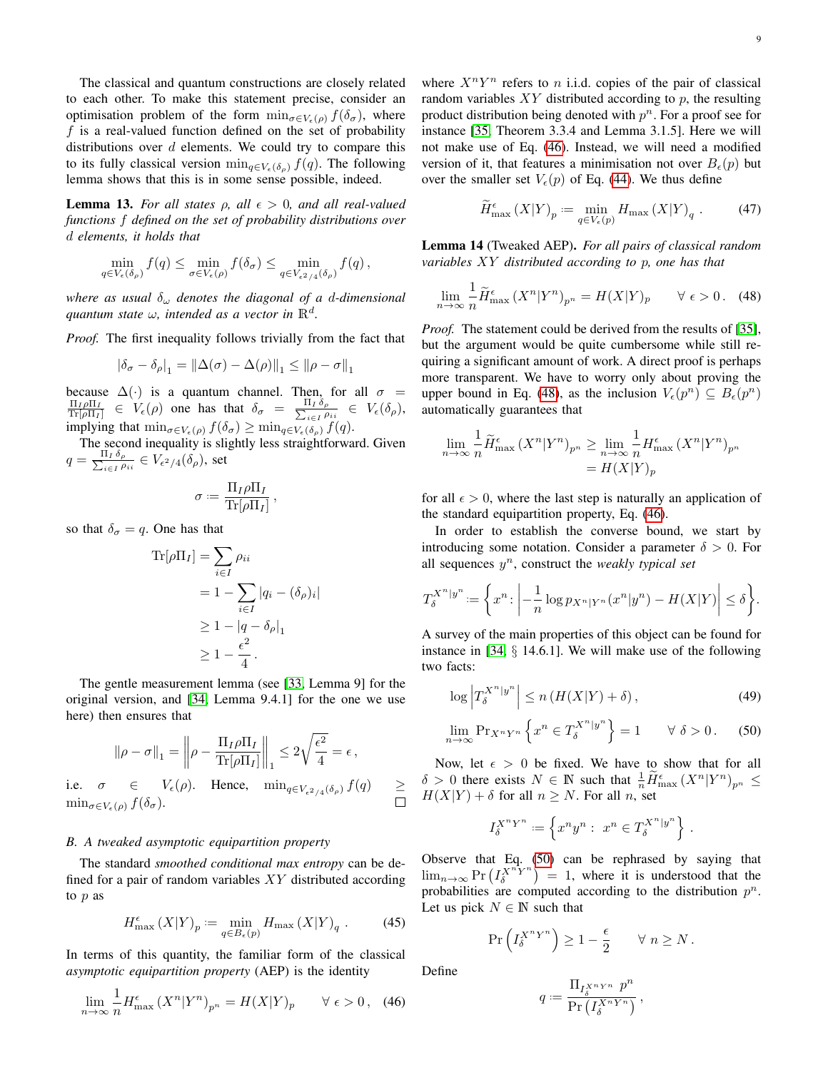The classical and quantum constructions are closely related to each other. To make this statement precise, consider an optimisation problem of the form  $\min_{\sigma \in V_{\epsilon}(\rho)} f(\delta_{\sigma})$ , where  $f$  is a real-valued function defined on the set of probability

<span id="page-8-4"></span>**Lemma 13.** *For all states*  $\rho$ , all  $\epsilon > 0$ , and all real-valued *functions* f *defined on the set of probability distributions over* d *elements, it holds that*

distributions over  $d$  elements. We could try to compare this to its fully classical version  $\min_{q \in V_{\epsilon}(\delta_{\rho})} f(q)$ . The following lemma shows that this is in some sense possible, indeed.

$$
\min_{q \in V_{\epsilon}(\delta_{\rho})} f(q) \leq \min_{\sigma \in V_{\epsilon}(\rho)} f(\delta_{\sigma}) \leq \min_{q \in V_{\epsilon^2/4}(\delta_{\rho})} f(q),
$$

*where as usual* δ<sup>ω</sup> *denotes the diagonal of a* d*-dimensional*  $q$ uantum state  $\omega$ , intended as a vector in  $\mathbb{R}^d$ .

*Proof.* The first inequality follows trivially from the fact that

$$
|\delta_{\sigma} - \delta_{\rho}|_1 = ||\Delta(\sigma) - \Delta(\rho)||_1 \le ||\rho - \sigma||_1
$$

because  $\Delta(\cdot)$  is a quantum channel. Then, for all  $\sigma = \frac{\Pi_I \rho \Pi_I}{\text{Tr}[\rho \Pi_I]} \in V_{\epsilon}(\rho)$  one has that  $\delta_{\sigma} = \frac{\Pi_I \delta_{\rho}}{\sum_{i \in I} \rho_{ii}} \in V_{\epsilon}(\delta_{\rho}),$  $\frac{I_I \circ \rho}{I_{i\in I} \rho_{ii}} \in V_{\epsilon}(\delta_{\rho}),$ implying that  $\min_{\sigma \in V_{\epsilon}(\rho)} f(\delta_{\sigma}) \geq \min_{q \in V_{\epsilon}(\delta_{\rho})} f(q)$ .

The second inequality is slightly less straightforward. Given  $q = \frac{\Pi_I \, \delta_\rho}{\sum_{i \in I} \rho_i}$  $\frac{a_{I} \sigma_{\rho}}{a_{i} \epsilon_{I} \rho_{ii}} \in V_{\epsilon^2/4}(\delta_{\rho}),$  set

$$
\sigma := \frac{\Pi_I \rho \Pi_I}{\text{Tr}[\rho \Pi_I]},
$$

so that  $\delta_{\sigma} = q$ . One has that

$$
\begin{aligned} \text{Tr}[\rho \Pi_I] &= \sum_{i \in I} \rho_{ii} \\ &= 1 - \sum_{i \in I} |q_i - (\delta_\rho)_i| \\ &\ge 1 - |q - \delta_\rho|_1 \\ &\ge 1 - \frac{\epsilon^2}{4} \,. \end{aligned}
$$

The gentle measurement lemma (see [\[33,](#page-17-32) Lemma 9] for the original version, and [\[34,](#page-17-33) Lemma 9.4.1] for the one we use here) then ensures that

$$
\|\rho - \sigma\|_1 = \left\|\rho - \frac{\Pi_I \rho \Pi_I}{\text{Tr}[\rho \Pi_I]}\right\|_1 \leq 2\sqrt{\frac{\epsilon^2}{4}} = \epsilon,
$$

i.e.  $\sigma \in V_{\epsilon}(\rho)$ . Hence,  $\min_{q \in V_{\epsilon^2/4}(\delta_{\rho})} f(q) \ge$  $\min_{\sigma \in V_{\epsilon}(\rho)} f(\delta_{\sigma}).$ 

# *B. A tweaked asymptotic equipartition property*

The standard *smoothed conditional max entropy* can be defined for a pair of random variables  $XY$  distributed according to p as

$$
H_{\max}^{\epsilon}(X|Y)_p := \min_{q \in B_{\epsilon}(p)} H_{\max}(X|Y)_q.
$$
 (45)

In terms of this quantity, the familiar form of the classical *asymptotic equipartition property* (AEP) is the identity

<span id="page-8-0"></span>
$$
\lim_{n \to \infty} \frac{1}{n} H_{\text{max}}^{\epsilon} \left( X^n | Y^n \right)_{p^n} = H(X | Y)_p \qquad \forall \ \epsilon > 0, \tag{46}
$$

where  $X^nY^n$  refers to *n* i.i.d. copies of the pair of classical random variables  $XY$  distributed according to p, the resulting product distribution being denoted with  $p<sup>n</sup>$ . For a proof see for instance [\[35,](#page-17-34) Theorem 3.3.4 and Lemma 3.1.5]. Here we will not make use of Eq. [\(46\)](#page-8-0). Instead, we will need a modified version of it, that features a minimisation not over  $B_{\epsilon}(p)$  but over the smaller set  $V_e(p)$  of Eq. [\(44\)](#page-7-2). We thus define

$$
\widetilde{H}^{\epsilon}_{\max}(X|Y)_p := \min_{q \in V_{\epsilon}(p)} H_{\max}(X|Y)_q. \tag{47}
$$

<span id="page-8-5"></span>Lemma 14 (Tweaked AEP). *For all pairs of classical random variables* XY *distributed according to* p*, one has that*

<span id="page-8-1"></span>
$$
\lim_{n \to \infty} \frac{1}{n} \widetilde{H}_{\text{max}}^{\epsilon} (X^n | Y^n)_{p^n} = H(X | Y)_p \qquad \forall \ \epsilon > 0. \tag{48}
$$

*Proof.* The statement could be derived from the results of [\[35\]](#page-17-34), but the argument would be quite cumbersome while still requiring a significant amount of work. A direct proof is perhaps more transparent. We have to worry only about proving the upper bound in Eq. [\(48\)](#page-8-1), as the inclusion  $V_{\epsilon}(p^n) \subseteq B_{\epsilon}(p^n)$ automatically guarantees that

$$
\lim_{n \to \infty} \frac{1}{n} \widetilde{H}_{\max}^{\epsilon} (X^n | Y^n)_{p^n} \ge \lim_{n \to \infty} \frac{1}{n} H_{\max}^{\epsilon} (X^n | Y^n)_{p^n}
$$

$$
= H(X | Y)_p
$$

for all  $\epsilon > 0$ , where the last step is naturally an application of the standard equipartition property, Eq. [\(46\)](#page-8-0).

In order to establish the converse bound, we start by introducing some notation. Consider a parameter  $\delta > 0$ . For all sequences  $y^n$ , construct the *weakly typical set* 

$$
T_{\delta}^{X^n|y^n} := \left\{ x^n : \left| -\frac{1}{n} \log p_{X^n|Y^n}(x^n|y^n) - H(X|Y) \right| \le \delta \right\}.
$$

A survey of the main properties of this object can be found for instance in [\[34,](#page-17-33) § 14.6.1]. We will make use of the following two facts:

$$
\log \left| T_{\delta}^{X^n | y^n} \right| \le n \left( H(X|Y) + \delta \right),\tag{49}
$$

$$
\lim_{n \to \infty} \Pr_{X^n Y^n} \left\{ x^n \in T_\delta^{X^n | y^n} \right\} = 1 \qquad \forall \ \delta > 0. \tag{50}
$$

Now, let  $\epsilon > 0$  be fixed. We have to show that for all  $\delta > 0$  there exists  $N \in \mathbb{N}$  such that  $\frac{1}{n} \widetilde{H}^{\epsilon}_{\max} (X^n | Y^n)_{p^n} \leq$  $H(X|Y) + \delta$  for all  $n \geq N$ . For all n, set

<span id="page-8-3"></span><span id="page-8-2"></span>
$$
I_{\delta}^{X^n Y^n} := \left\{ x^n y^n : x^n \in T_{\delta}^{X^n | y^n} \right\}.
$$

Observe that Eq. [\(50\)](#page-8-2) can be rephrased by saying that  $\lim_{n\to\infty}$  Pr  $\left(I_\delta^{X^n} \right)^n = 1$ , where it is understood that the probabilities are computed according to the distribution  $p^n$ . Let us pick  $N \in \mathbb{N}$  such that

$$
\Pr\left(I_{\delta}^{X^{n}Y^{n}}\right) \geq 1 - \frac{\epsilon}{2} \qquad \forall n \geq N.
$$

Define

$$
q:=\frac{\Pi_{I_{\delta}^{X^{n}Y^{n}}}}{\Pr\left(I_{\delta}^{X^{n}Y^{n}}\right)}\,,
$$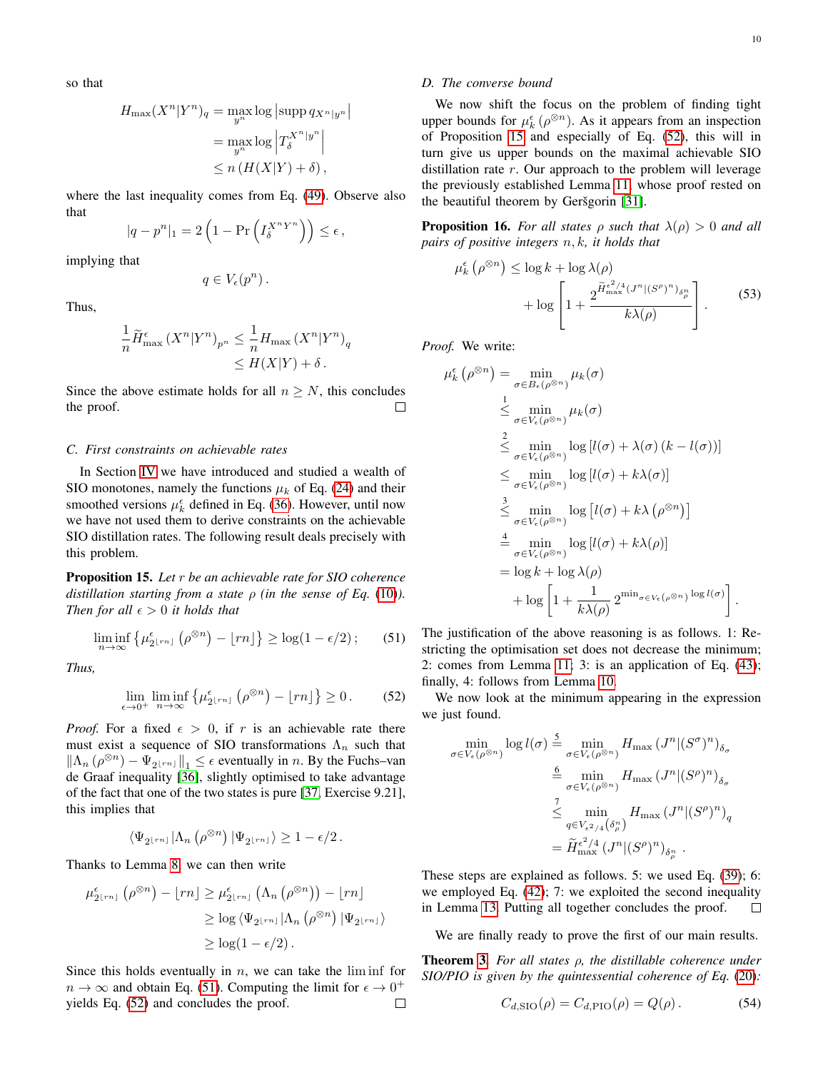so that

$$
H_{\max}(X^n|Y^n)_q = \max_{y^n} \log |\text{supp } q_{X^n|y^n}|
$$
  
= 
$$
\max_{y^n} \log \left| T_{\delta}^{X^n|y^n} \right|
$$
  
\$\leq n(H(X|Y) + \delta)\$,

where the last inequality comes from Eq. [\(49\)](#page-8-3). Observe also that

$$
|q - p^{n}|_1 = 2\left(1 - \Pr\left(I_{\delta}^{X^{n}Y^{n}}\right)\right) \leq \epsilon,
$$

implying that

$$
q\in V_{\epsilon}(p^n)\,.
$$

Thus,

$$
\frac{1}{n}\widetilde{H}_{\max}^{\epsilon}(X^n|Y^n)_{p^n} \leq \frac{1}{n}H_{\max}(X^n|Y^n)_{q}
$$
  
\n
$$
\leq H(X|Y) + \delta.
$$

Since the above estimate holds for all  $n \geq N$ , this concludes the proof.  $\Box$ 

# *C. First constraints on achievable rates*

In Section [IV](#page-5-0) we have introduced and studied a wealth of SIO monotones, namely the functions  $\mu_k$  of Eq. [\(24\)](#page-5-6) and their smoothed versions  $\mu_k^{\epsilon}$  defined in Eq. [\(36\)](#page-6-5). However, until now we have not used them to derive constraints on the achievable SIO distillation rates. The following result deals precisely with this problem.

<span id="page-9-2"></span>Proposition 15. *Let* r *be an achievable rate for SIO coherence distillation starting from a state*  $\rho$  *(in the sense of Eq. [\(10\)](#page-3-7)). Then for all*  $\epsilon > 0$  *it holds that* 

<span id="page-9-0"></span>
$$
\liminf_{n \to \infty} \left\{ \mu_{2\lfloor rn \rfloor}^{\epsilon} \left( \rho^{\otimes n} \right) - \lfloor rn \rfloor \right\} \ge \log(1 - \epsilon/2); \qquad (51)
$$

*Thus,*

<span id="page-9-1"></span>
$$
\lim_{\epsilon \to 0^+} \liminf_{n \to \infty} \left\{ \mu_{2 \lfloor rn \rfloor}^{\epsilon} \left( \rho^{\otimes n} \right) - \lfloor rn \rfloor \right\} \ge 0. \tag{52}
$$

*Proof.* For a fixed  $\epsilon > 0$ , if r is an achievable rate there must exist a sequence of SIO transformations  $\Lambda_n$  such that  $\|\Lambda_n \left( \rho^{\otimes n} \right) - \Psi_{2^{\lfloor rn \rfloor}} \|_1 \leq \epsilon$  eventually in *n*. By the Fuchs–van de Graaf inequality [\[36\]](#page-17-35), slightly optimised to take advantage of the fact that one of the two states is pure [\[37,](#page-17-36) Exercise 9.21], this implies that

$$
\left\langle \Psi_{2^{\lfloor rn\rfloor}} | \Lambda_n \left( \rho^{\otimes n} \right) | \Psi_{2^{\lfloor rn\rfloor}} \right\rangle \geq 1-\epsilon/2\,.
$$

Thanks to Lemma [8,](#page-5-7) we can then write

$$
\mu_{2^{\lfloor rn\rfloor}}^{\epsilon}(\rho^{\otimes n}) - \lfloor rn \rfloor \ge \mu_{2^{\lfloor rn\rfloor}}^{\epsilon}(\Lambda_n(\rho^{\otimes n})) - \lfloor rn \rfloor
$$
  

$$
\ge \log \langle \Psi_{2^{\lfloor rn\rfloor}} | \Lambda_n(\rho^{\otimes n}) | \Psi_{2^{\lfloor rn\rfloor}} \rangle
$$
  

$$
\ge \log(1 - \epsilon/2).
$$

Since this holds eventually in  $n$ , we can take the lim inf for  $n \to \infty$  and obtain Eq. [\(51\)](#page-9-0). Computing the limit for  $\epsilon \to 0^+$ yields Eq. [\(52\)](#page-9-1) and concludes the proof.  $\Box$ 

# *D. The converse bound*

We now shift the focus on the problem of finding tight upper bounds for  $\mu_k^{\epsilon}(\rho^{\otimes n})$ . As it appears from an inspection of Proposition [15](#page-9-2) and especially of Eq. [\(52\)](#page-9-1), this will in turn give us upper bounds on the maximal achievable SIO distillation rate  $r$ . Our approach to the problem will leverage the previously established Lemma [11,](#page-6-7) whose proof rested on the beautiful theorem by Geršgorin [\[31\]](#page-17-30).

<span id="page-9-3"></span>**Proposition 16.** *For all states*  $\rho$  *such that*  $\lambda(\rho) > 0$  *and all pairs of positive integers* n, k*, it holds that*

$$
\mu_k^{\epsilon} \left( \rho^{\otimes n} \right) \le \log k + \log \lambda(\rho) \n+ \log \left[ 1 + \frac{2^{\widetilde{H}_{\text{max}}^{\epsilon^2/4} \left( J^n | (S^{\rho})^n \right)_{\delta_{\rho}^n}}}{k \lambda(\rho)} \right].
$$
\n(53)

*Proof.* We write:

$$
\mu_{k}^{\epsilon}(\rho^{\otimes n}) = \min_{\sigma \in B_{\epsilon}(\rho^{\otimes n})} \mu_{k}(\sigma)
$$
\n
$$
\leq \min_{\sigma \in V_{\epsilon}(\rho^{\otimes n})} \mu_{k}(\sigma)
$$
\n
$$
\leq \min_{\sigma \in V_{\epsilon}(\rho^{\otimes n})} \log [l(\sigma) + \lambda(\sigma) (k - l(\sigma))]
$$
\n
$$
\leq \min_{\sigma \in V_{\epsilon}(\rho^{\otimes n})} \log [l(\sigma) + k\lambda(\sigma)]
$$
\n
$$
\leq \min_{\sigma \in V_{\epsilon}(\rho^{\otimes n})} \log [l(\sigma) + k\lambda(\rho^{\otimes n})]
$$
\n
$$
\leq \min_{\sigma \in V_{\epsilon}(\rho^{\otimes n})} \log [l(\sigma) + k\lambda(\rho)]
$$
\n
$$
= \min_{\sigma \in V_{\epsilon}(\rho^{\otimes n})} \log [l(\sigma) + k\lambda(\rho)]
$$
\n
$$
= \log k + \log \lambda(\rho)
$$
\n
$$
+ \log \left[1 + \frac{1}{k\lambda(\rho)} 2^{\min_{\sigma \in V_{\epsilon}(\rho^{\otimes n})} \log l(\sigma)}\right].
$$

The justification of the above reasoning is as follows. 1: Restricting the optimisation set does not decrease the minimum; 2: comes from Lemma [11;](#page-6-7) 3: is an application of Eq. [\(43\)](#page-7-3); finally, 4: follows from Lemma [10.](#page-6-8)

We now look at the minimum appearing in the expression we just found.

$$
\min_{\sigma \in V_{\epsilon}(\rho^{\otimes n})} \log l(\sigma) \stackrel{5}{=} \min_{\sigma \in V_{\epsilon}(\rho^{\otimes n})} H_{\max} (J^n | (S^{\sigma})^n)_{\delta_{\sigma}}
$$

$$
\stackrel{6}{=} \min_{\sigma \in V_{\epsilon}(\rho^{\otimes n})} H_{\max} (J^n | (S^{\rho})^n)_{\delta_{\sigma}}
$$

$$
\stackrel{7}{\leq} \min_{q \in V_{\epsilon^2/4}(\delta_{\rho}^n)} H_{\max} (J^n | (S^{\rho})^n)_{q}
$$

$$
= \widetilde{H}_{\max}^{\epsilon^2/4} (J^n | (S^{\rho})^n)_{\delta_{\rho}^n} .
$$

These steps are explained as follows. 5: we used Eq. [\(39\)](#page-7-4); 6: we employed Eq. [\(42\)](#page-7-5); 7: we exploited the second inequality in Lemma [13.](#page-8-4) Putting all together concludes the proof.  $\Box$ 

We are finally ready to prove the first of our main results.

Theorem [3.](#page-3-4) *For all states* ρ*, the distillable coherence under SIO/PIO is given by the quintessential coherence of Eq.* [\(20\)](#page-4-5)*:*

$$
C_{d, \text{SIO}}(\rho) = C_{d, \text{PIO}}(\rho) = Q(\rho).
$$
 (54)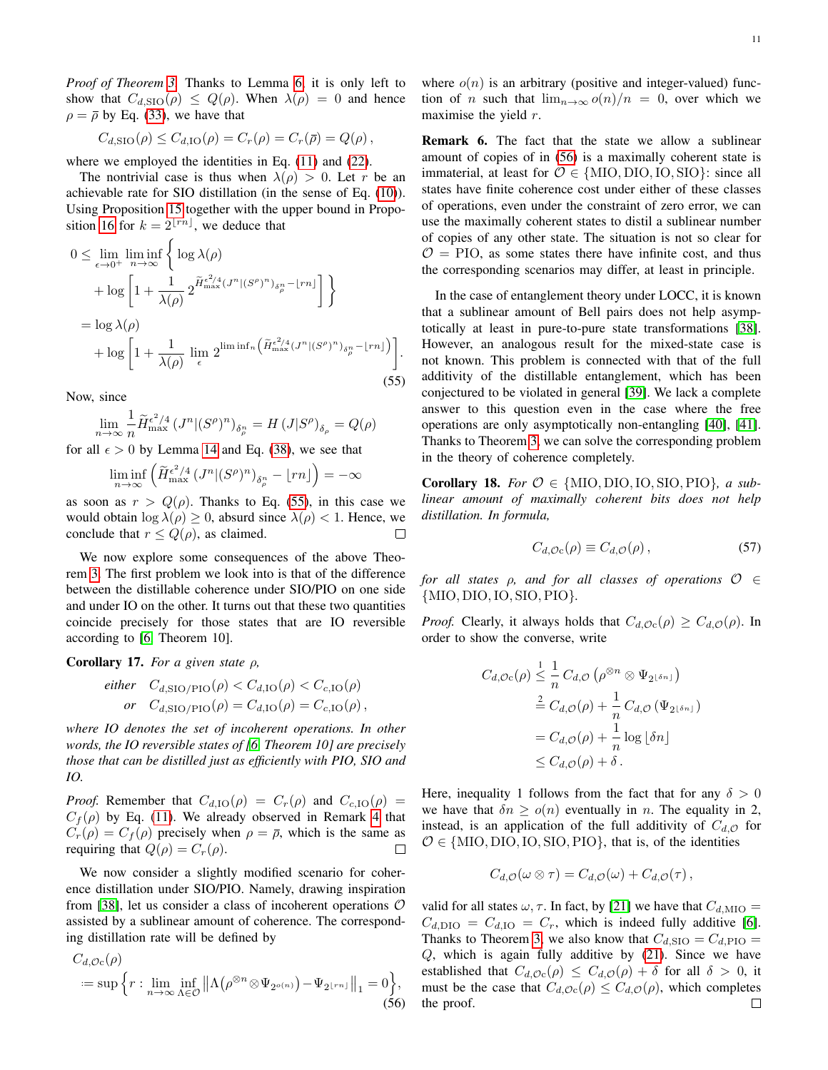*Proof of Theorem [3.](#page-3-4)* Thanks to Lemma [6,](#page-4-6) it is only left to show that  $C_{d, \text{SIO}}(\rho) \leq Q(\rho)$ . When  $\lambda(\rho) = 0$  and hence  $\rho = \overline{\rho}$  by Eq. [\(33\)](#page-6-9), we have that

$$
C_{d, \text{SIO}}(\rho) \leq C_{d, \text{IO}}(\rho) = C_r(\rho) = C_r(\overline{\rho}) = Q(\rho),
$$

where we employed the identities in Eq.  $(11)$  and  $(22)$ .

The nontrivial case is thus when  $\lambda(\rho) > 0$ . Let r be an achievable rate for SIO distillation (in the sense of Eq. [\(10\)](#page-3-7)). Using Proposition [15](#page-9-2) together with the upper bound in Propo-sition [16](#page-9-3) for  $k = 2^{\lfloor rn \rfloor}$ , we deduce that

<span id="page-10-0"></span>
$$
0 \leq \lim_{\epsilon \to 0^{+}} \liminf_{n \to \infty} \left\{ \log \lambda(\rho) + \log \left[ 1 + \frac{1}{\lambda(\rho)} 2^{\widetilde{H}_{\text{max}}^{\epsilon^{2}/4} (J^{n} | (S^{\rho})^{n})_{\delta_{\rho}^{n}} - \lfloor rn \rfloor} \right] \right\}
$$
  
=  $\log \lambda(\rho)$   
+  $\log \left[ 1 + \frac{1}{\lambda(\rho)} \lim_{\epsilon} 2^{\liminf_{n} \left( \widetilde{H}_{\text{max}}^{\epsilon^{2}/4} (J^{n} | (S^{\rho})^{n})_{\delta_{\rho}^{n}} - \lfloor rn \rfloor} \right) \right].$  (55)

Now, since

$$
\lim_{n \to \infty} \frac{1}{n} \widetilde{H}^{\epsilon^2/4}_{\max} (J^n | (S^\rho)^n)_{\delta_\rho^n} = H (J | S^\rho)_{\delta_\rho} = Q(\rho)
$$

for all  $\epsilon > 0$  by Lemma [14](#page-8-5) and Eq. [\(38\)](#page-7-1), we see that

$$
\liminf_{n \to \infty} \left( \widetilde{H}^{\epsilon^2/4}_{\max} (J^n | (S^\rho)^n)_{\delta^n_\rho} - \lfloor rn \rfloor \right) = -\infty
$$

as soon as  $r > Q(\rho)$ . Thanks to Eq. [\(55\)](#page-10-0), in this case we would obtain  $\log \lambda(\rho) \geq 0$ , absurd since  $\lambda(\rho) < 1$ . Hence, we conclude that  $r \leq Q(\rho)$ , as claimed. □

We now explore some consequences of the above Theorem [3.](#page-3-4) The first problem we look into is that of the difference between the distillable coherence under SIO/PIO on one side and under IO on the other. It turns out that these two quantities coincide precisely for those states that are IO reversible according to [\[6,](#page-17-5) Theorem 10].

Corollary 17. *For a given state* ρ*,*

*either* 
$$
C_{d, \text{SIO/PIO}}(\rho) < C_{d, \text{IO}}(\rho) < C_{c, \text{IO}}(\rho)
$$
  
*or*  $C_{d, \text{SIO/PIO}}(\rho) = C_{d, \text{IO}}(\rho) = C_{c, \text{IO}}(\rho)$ ,

*where IO denotes the set of incoherent operations. In other words, the IO reversible states of [\[6,](#page-17-5) Theorem 10] are precisely those that can be distilled just as efficiently with PIO, SIO and IO.*

*Proof.* Remember that  $C_{d,IO}(\rho) = C_r(\rho)$  and  $C_{c,IO}(\rho) =$  $C_f(\rho)$  by Eq. [\(11\)](#page-3-8). We already observed in Remark [4](#page-4-8) that  $C_r(\rho) = C_f(\rho)$  precisely when  $\rho = \overline{\rho}$ , which is the same as requiring that  $Q(\rho) = C_r(\rho)$ .  $\Box$ 

We now consider a slightly modified scenario for coherence distillation under SIO/PIO. Namely, drawing inspiration from [\[38\]](#page-17-37), let us consider a class of incoherent operations  $\mathcal O$ assisted by a sublinear amount of coherence. The corresponding distillation rate will be defined by

<span id="page-10-1"></span>
$$
C_{d, \mathcal{O}c}(\rho)
$$
  
= sup  $\left\{ r : \lim_{n \to \infty} \inf_{\Lambda \in \mathcal{O}} \left\| \Lambda \left( \rho^{\otimes n} \otimes \Psi_{2^{o(n)}} \right) - \Psi_{2^{\lfloor rn \rfloor}} \right\|_1 = 0 \right\},\$  (56)

where  $o(n)$  is an arbitrary (positive and integer-valued) function of n such that  $\lim_{n\to\infty} o(n)/n = 0$ , over which we maximise the yield  $r$ .

Remark 6. The fact that the state we allow a sublinear amount of copies of in [\(56\)](#page-10-1) is a maximally coherent state is immaterial, at least for  $\mathcal{O} \in \{$ MIO, DIO, IO, SIO}: since all states have finite coherence cost under either of these classes of operations, even under the constraint of zero error, we can use the maximally coherent states to distil a sublinear number of copies of any other state. The situation is not so clear for  $\mathcal{O} = \text{PIO}$ , as some states there have infinite cost, and thus the corresponding scenarios may differ, at least in principle.

In the case of entanglement theory under LOCC, it is known that a sublinear amount of Bell pairs does not help asymptotically at least in pure-to-pure state transformations [\[38\]](#page-17-37). However, an analogous result for the mixed-state case is not known. This problem is connected with that of the full additivity of the distillable entanglement, which has been conjectured to be violated in general [\[39\]](#page-17-38). We lack a complete answer to this question even in the case where the free operations are only asymptotically non-entangling [\[40\]](#page-17-39), [\[41\]](#page-17-40). Thanks to Theorem [3,](#page-3-4) we can solve the corresponding problem in the theory of coherence completely.

**Corollary 18.** *For*  $O \in \{MIO, DIO, IO, SIO, PIO\}$ *, a sublinear amount of maximally coherent bits does not help distillation. In formula,*

$$
C_{d, \mathcal{O}c}(\rho) \equiv C_{d, \mathcal{O}}(\rho) , \qquad (57)
$$

*for all states* ρ*, and for all classes of operations* O ∈ {MIO, DIO,IO, SIO,PIO}*.*

*Proof.* Clearly, it always holds that  $C_{d, \mathcal{O}\mathcal{C}}(\rho) \geq C_{d, \mathcal{O}}(\rho)$ . In order to show the converse, write

$$
C_{d, \mathcal{O}c}(\rho) \leq \frac{1}{n} C_{d, \mathcal{O}} \left( \rho^{\otimes n} \otimes \Psi_{2^{\lfloor \delta n \rfloor}} \right)
$$
  
\n
$$
\stackrel{2}{=} C_{d, \mathcal{O}}(\rho) + \frac{1}{n} C_{d, \mathcal{O}} \left( \Psi_{2^{\lfloor \delta n \rfloor}} \right)
$$
  
\n
$$
= C_{d, \mathcal{O}}(\rho) + \frac{1}{n} \log \lfloor \delta n \rfloor
$$
  
\n
$$
\leq C_{d, \mathcal{O}}(\rho) + \delta.
$$

Here, inequality 1 follows from the fact that for any  $\delta > 0$ we have that  $\delta n \ge o(n)$  eventually in *n*. The equality in 2, instead, is an application of the full additivity of  $C_{d,0}$  for  $O \in \{MIO, DIO, IO, SIO, PIO\}$ , that is, of the identities

$$
C_{d,\mathcal{O}}(\omega \otimes \tau) = C_{d,\mathcal{O}}(\omega) + C_{d,\mathcal{O}}(\tau),
$$

valid for all states  $\omega, \tau$ . In fact, by [\[21\]](#page-17-20) we have that  $C_{d,\text{MIO}} =$  $C_{d, \text{DIO}} = C_{d,\text{IO}} = C_r$ , which is indeed fully additive [\[6\]](#page-17-5). Thanks to Theorem [3,](#page-3-4) we also know that  $C_{d, \text{SIO}} = C_{d, \text{PIO}} =$  $Q$ , which is again fully additive by  $(21)$ . Since we have established that  $C_{d, \mathcal{O}c}(\rho) \leq C_{d, \mathcal{O}}(\rho) + \delta$  for all  $\delta > 0$ , it must be the case that  $C_{d, \mathcal{O}c}(\rho) \leq C_{d, \mathcal{O}}(\rho)$ , which completes  $\Box$ the proof.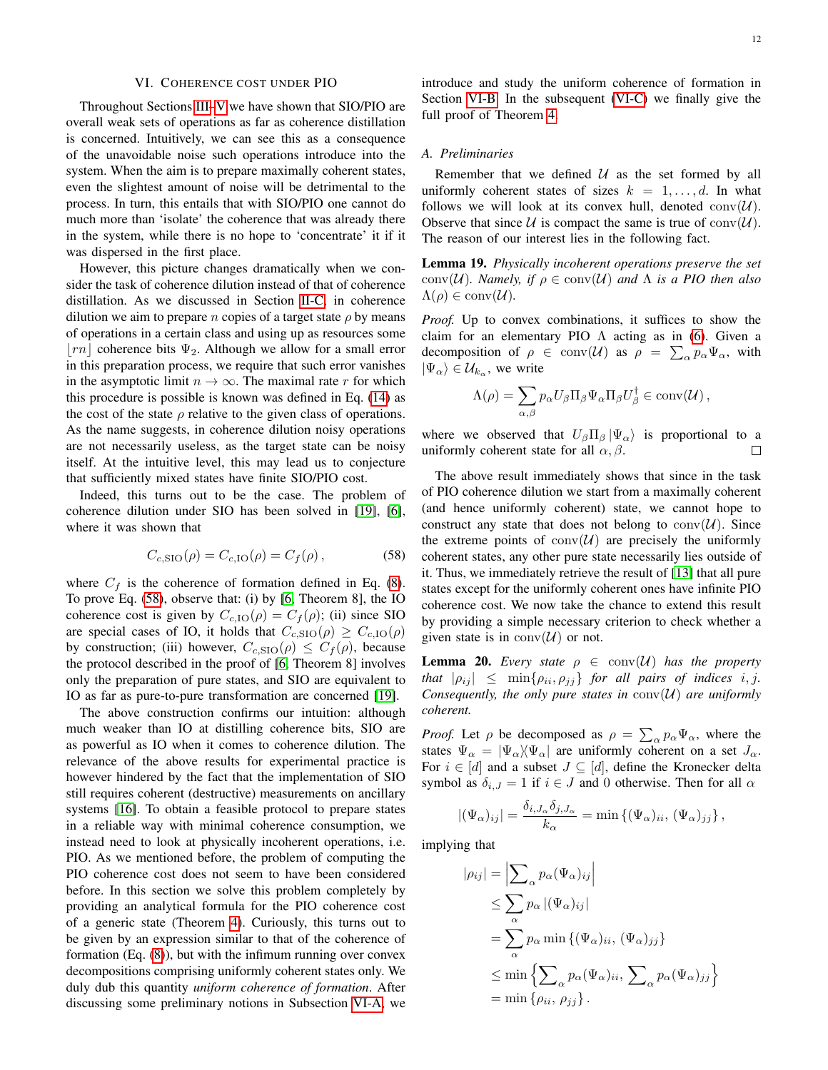# VI. COHERENCE COST UNDER PIO

<span id="page-11-0"></span>Throughout Sections [III–](#page-4-0)[V](#page-7-0) we have shown that SIO/PIO are overall weak sets of operations as far as coherence distillation is concerned. Intuitively, we can see this as a consequence of the unavoidable noise such operations introduce into the system. When the aim is to prepare maximally coherent states, even the slightest amount of noise will be detrimental to the process. In turn, this entails that with SIO/PIO one cannot do much more than 'isolate' the coherence that was already there in the system, while there is no hope to 'concentrate' it if it was dispersed in the first place.

However, this picture changes dramatically when we consider the task of coherence dilution instead of that of coherence distillation. As we discussed in Section [II-C,](#page-3-9) in coherence dilution we aim to prepare *n* copies of a target state  $\rho$  by means of operations in a certain class and using up as resources some  $\lfloor rn \rfloor$  coherence bits  $\Psi_2$ . Although we allow for a small error in this preparation process, we require that such error vanishes in the asymptotic limit  $n \to \infty$ . The maximal rate r for which this procedure is possible is known was defined in Eq. [\(14\)](#page-3-10) as the cost of the state  $\rho$  relative to the given class of operations. As the name suggests, in coherence dilution noisy operations are not necessarily useless, as the target state can be noisy itself. At the intuitive level, this may lead us to conjecture that sufficiently mixed states have finite SIO/PIO cost.

Indeed, this turns out to be the case. The problem of coherence dilution under SIO has been solved in [\[19\]](#page-17-18), [\[6\]](#page-17-5), where it was shown that

<span id="page-11-1"></span>
$$
C_{c, \text{SIO}}(\rho) = C_{c, \text{IO}}(\rho) = C_f(\rho), \tag{58}
$$

where  $C_f$  is the coherence of formation defined in Eq. [\(8\)](#page-3-1). To prove Eq. [\(58\)](#page-11-1), observe that: (i) by [\[6,](#page-17-5) Theorem 8], the IO coherence cost is given by  $C_{c,IO}(\rho) = C_f(\rho)$ ; (ii) since SIO are special cases of IO, it holds that  $C_{c, SIO}(\rho) \geq C_{c, IO}(\rho)$ by construction; (iii) however,  $C_{c, \text{SIO}}(\rho) \leq C_f(\rho)$ , because the protocol described in the proof of [\[6,](#page-17-5) Theorem 8] involves only the preparation of pure states, and SIO are equivalent to IO as far as pure-to-pure transformation are concerned [\[19\]](#page-17-18).

The above construction confirms our intuition: although much weaker than IO at distilling coherence bits, SIO are as powerful as IO when it comes to coherence dilution. The relevance of the above results for experimental practice is however hindered by the fact that the implementation of SIO still requires coherent (destructive) measurements on ancillary systems [\[16\]](#page-17-15). To obtain a feasible protocol to prepare states in a reliable way with minimal coherence consumption, we instead need to look at physically incoherent operations, i.e. PIO. As we mentioned before, the problem of computing the PIO coherence cost does not seem to have been considered before. In this section we solve this problem completely by providing an analytical formula for the PIO coherence cost of a generic state (Theorem [4\)](#page-3-5). Curiously, this turns out to be given by an expression similar to that of the coherence of formation (Eq. [\(8\)](#page-3-1)), but with the infimum running over convex decompositions comprising uniformly coherent states only. We duly dub this quantity *uniform coherence of formation*. After discussing some preliminary notions in Subsection [VI-A,](#page-11-2) we introduce and study the uniform coherence of formation in Section [VI-B.](#page-12-0) In the subsequent [\(VI-C\)](#page-14-0) we finally give the full proof of Theorem [4.](#page-3-5)

## <span id="page-11-2"></span>*A. Preliminaries*

Remember that we defined  $U$  as the set formed by all uniformly coherent states of sizes  $k = 1, \ldots, d$ . In what follows we will look at its convex hull, denoted  $conv(\mathcal{U})$ . Observe that since  $U$  is compact the same is true of  $conv(U)$ . The reason of our interest lies in the following fact.

<span id="page-11-3"></span>Lemma 19. *Physically incoherent operations preserve the set* conv( $U$ )*. Namely, if*  $\rho \in \text{conv}(U)$  *and*  $\Lambda$  *is a PIO then also*  $\Lambda(\rho) \in \text{conv}(\mathcal{U}).$ 

*Proof.* Up to convex combinations, it suffices to show the claim for an elementary PIO  $\Lambda$  acting as in [\(6\)](#page-2-5). Given a decomposition of  $\rho \in \text{conv}(\mathcal{U})$  as  $\rho = \sum_{\alpha} p_{\alpha} \Psi_{\alpha}$ , with  $|\Psi_{\alpha}\rangle \in \mathcal{U}_{k_{\alpha}},$  we write

$$
\Lambda(\rho) = \sum_{\alpha,\beta} p_{\alpha} U_{\beta} \Pi_{\beta} \Psi_{\alpha} \Pi_{\beta} U_{\beta}^{\dagger} \in \text{conv}(\mathcal{U}),
$$

where we observed that  $U_\beta \Pi_\beta |\Psi_\alpha\rangle$  is proportional to a uniformly coherent state for all  $\alpha$ ,  $\beta$ . П

The above result immediately shows that since in the task of PIO coherence dilution we start from a maximally coherent (and hence uniformly coherent) state, we cannot hope to construct any state that does not belong to  $\text{conv}(\mathcal{U})$ . Since the extreme points of  $conv(\mathcal{U})$  are precisely the uniformly coherent states, any other pure state necessarily lies outside of it. Thus, we immediately retrieve the result of [\[13\]](#page-17-12) that all pure states except for the uniformly coherent ones have infinite PIO coherence cost. We now take the chance to extend this result by providing a simple necessary criterion to check whether a given state is in  $conv(\mathcal{U})$  or not.

<span id="page-11-4"></span>**Lemma 20.** *Every state*  $\rho \in \text{conv}(\mathcal{U})$  *has the property that*  $|\rho_{ij}| \le \min\{\rho_{ii}, \rho_{jj}\}$  *for all pairs of indices i, j. Consequently, the only pure states in*  $conv(U)$  *are uniformly coherent.*

*Proof.* Let  $\rho$  be decomposed as  $\rho = \sum_{\alpha} p_{\alpha} \Psi_{\alpha}$ , where the states  $\Psi_{\alpha} = |\Psi_{\alpha}\rangle \langle \Psi_{\alpha}|$  are uniformly coherent on a set  $J_{\alpha}$ . For  $i \in [d]$  and a subset  $J \subseteq [d]$ , define the Kronecker delta symbol as  $\delta_{i,J} = 1$  if  $i \in J$  and 0 otherwise. Then for all  $\alpha$ 

$$
|(\Psi_{\alpha})_{ij}| = \frac{\delta_{i,J_{\alpha}}\delta_{j,J_{\alpha}}}{k_{\alpha}} = \min \left\{ (\Psi_{\alpha})_{ii}, (\Psi_{\alpha})_{jj} \right\},\,
$$

implying that

$$
|\rho_{ij}| = \left| \sum_{\alpha} p_{\alpha} (\Psi_{\alpha})_{ij} \right|
$$
  
\n
$$
\leq \sum_{\alpha} p_{\alpha} |(\Psi_{\alpha})_{ij}|
$$
  
\n
$$
= \sum_{\alpha} p_{\alpha} \min \{ (\Psi_{\alpha})_{ii}, (\Psi_{\alpha})_{jj} \}
$$
  
\n
$$
\leq \min \left\{ \sum_{\alpha} p_{\alpha} (\Psi_{\alpha})_{ii}, \sum_{\alpha} p_{\alpha} (\Psi_{\alpha})_{jj} \right\}
$$
  
\n
$$
= \min \left\{ \rho_{ii}, \rho_{jj} \right\}.
$$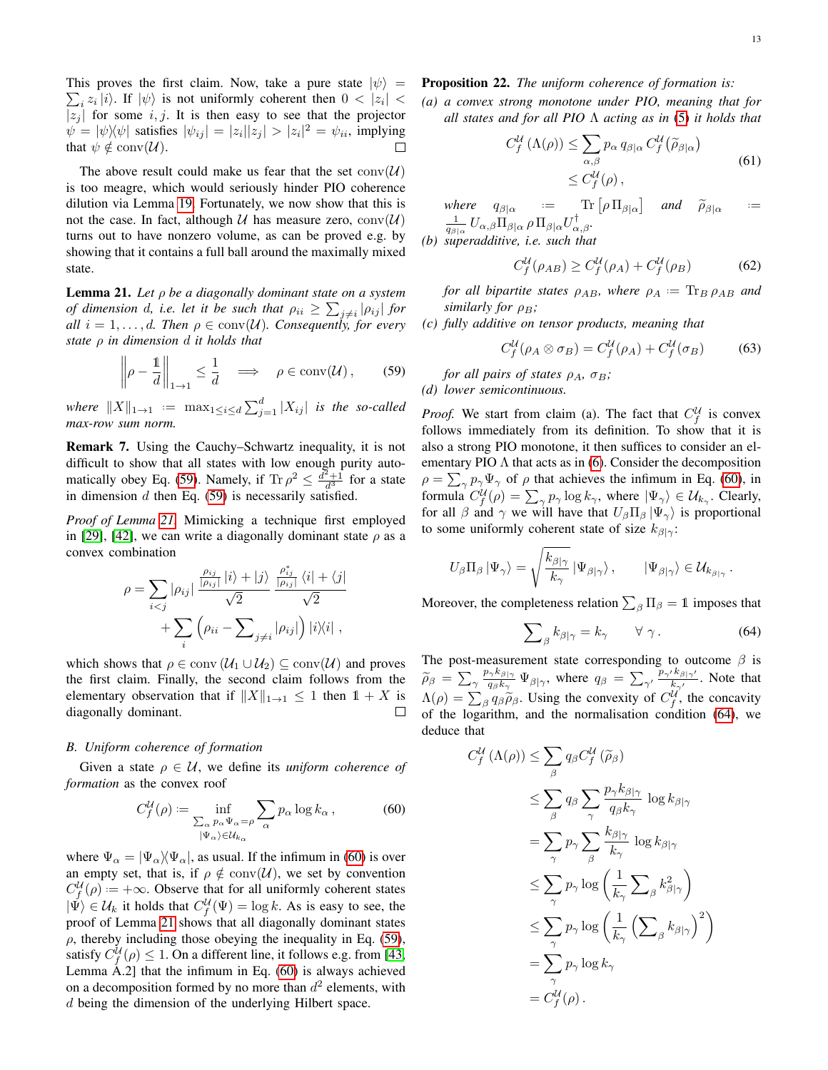This proves the first claim. Now, take a pure state  $|\psi\rangle$  =  $\sum_i z_i |i\rangle$ . If  $|\psi\rangle$  is not uniformly coherent then  $0 < |z_i| <$  $|z_j|$  for some i, j. It is then easy to see that the projector  $\psi = |\psi\rangle\langle\psi|$  satisfies  $|\psi_{ij}| = |z_i||z_j| > |z_i|^2 = \psi_{ii}$ , implying that  $\psi \notin \text{conv}(\mathcal{U})$ .  $\Box$ 

The above result could make us fear that the set  $conv(U)$ is too meagre, which would seriously hinder PIO coherence dilution via Lemma [19.](#page-11-3) Fortunately, we now show that this is not the case. In fact, although U has measure zero,  $conv(U)$ turns out to have nonzero volume, as can be proved e.g. by showing that it contains a full ball around the maximally mixed state.

<span id="page-12-2"></span>Lemma 21. *Let* ρ *be a diagonally dominant state on a system of dimension d, i.e. let it be such that*  $\rho_{ii} \ge \sum_{j \ne i} |\rho_{ij}|$  for *all*  $i = 1, \ldots, d$ *. Then*  $\rho \in \text{conv}(\mathcal{U})$ *. Consequently, for every state* ρ *in dimension* d *it holds that*

<span id="page-12-1"></span>
$$
\left\|\rho - \frac{1}{d}\right\|_{1\to 1} \le \frac{1}{d} \quad \Longrightarrow \quad \rho \in \text{conv}(\mathcal{U}),\qquad(59)
$$

 $where \t\|X\|_{1\to 1} := \max_{1\leq i\leq d} \sum_{j=1}^d |X_{ij}|$  *is the so-called max-row sum norm.*

Remark 7. Using the Cauchy–Schwartz inequality, it is not difficult to show that all states with low enough purity auto-matically obey Eq. [\(59\)](#page-12-1). Namely, if  $\text{Tr } \rho^2 \leq \frac{d^2+1}{d^3}$  for a state in dimension  $d$  then Eq. [\(59\)](#page-12-1) is necessarily satisfied.

*Proof of Lemma [21.](#page-12-2)* Mimicking a technique first employed in [\[29\]](#page-17-28), [\[42\]](#page-17-41), we can write a diagonally dominant state  $\rho$  as a convex combination

$$
\rho = \sum_{i < j} |\rho_{ij}| \frac{\frac{\rho_{ij}}{|\rho_{ij}|} |i\rangle + |j\rangle}{\sqrt{2}} \frac{\frac{\rho_{ij}^*}{|\rho_{ij}|} \langle i| + \langle j|}{\sqrt{2}} + \sum_i \left(\rho_{ii} - \sum_{j \neq i} |\rho_{ij}|\right) |i\rangle\langle i|,
$$

which shows that  $\rho \in \text{conv}(\mathcal{U}_1 \cup \mathcal{U}_2) \subseteq \text{conv}(\mathcal{U})$  and proves the first claim. Finally, the second claim follows from the elementary observation that if  $||X||_{1\to 1} \leq 1$  then  $1 + X$  is diagonally dominant.  $\Box$ 

### <span id="page-12-0"></span>*B. Uniform coherence of formation*

Given a state  $\rho \in U$ , we define its *uniform coherence of formation* as the convex roof

<span id="page-12-3"></span>
$$
C_f^{\mathcal{U}}(\rho) := \inf_{\substack{\sum_{\alpha} p_{\alpha} \Psi_{\alpha} = \rho \\ |\Psi_{\alpha}\rangle \in \mathcal{U}_{k_{\alpha}}}} \sum_{\alpha} p_{\alpha} \log k_{\alpha}, \tag{60}
$$

where  $\Psi_{\alpha} = |\Psi_{\alpha}\rangle \langle \Psi_{\alpha}|$ , as usual. If the infimum in [\(60\)](#page-12-3) is over an empty set, that is, if  $\rho \notin \text{conv}(\mathcal{U})$ , we set by convention  $C_f^{\mathcal{U}}(\rho) := +\infty$ . Observe that for all uniformly coherent states  $|\Psi\rangle \in \mathcal{U}_k$  it holds that  $C_f^{\mathcal{U}}(\Psi) = \log k$ . As is easy to see, the proof of Lemma [21](#page-12-2) shows that all diagonally dominant states  $\rho$ , thereby including those obeying the inequality in Eq. [\(59\)](#page-12-1), satisfy  $C_f^{\mathcal{U}}(\rho) \leq 1$ . On a different line, it follows e.g. from [\[43,](#page-17-42) Lemma A.2] that the infimum in Eq. [\(60\)](#page-12-3) is always achieved on a decomposition formed by no more than  $d^2$  elements, with d being the dimension of the underlying Hilbert space.

# <span id="page-12-7"></span>Proposition 22. *The uniform coherence of formation is:*

*(a) a convex strong monotone under PIO, meaning that for all states and for all PIO* Λ *acting as in* [\(5\)](#page-2-6) *it holds that*

<span id="page-12-5"></span>
$$
C_f^{\mathcal{U}}\left(\Lambda(\rho)\right) \le \sum_{\alpha,\beta} p_{\alpha} q_{\beta|\alpha} C_f^{\mathcal{U}}\left(\widetilde{\rho}_{\beta|\alpha}\right)
$$
  

$$
\le C_f^{\mathcal{U}}(\rho), \tag{61}
$$

*where*  $q_{\beta|\alpha} := \text{Tr} [\rho \Pi_{\beta|\alpha}]$  and  $\widetilde{\rho}_{\beta|\alpha}$ <br>  $\frac{1}{q_{\beta|\alpha}} U_{\alpha,\beta} \Pi_{\beta|\alpha} \rho \Pi_{\beta|\alpha} U_{\alpha,\beta}^{\dagger}.$ *. .*= *(b)* superadditive, i.e. such that

$$
C^{U}(q_{i-1}) > C^{U}(q_{i}) + C^{U}(q_{i})
$$

<span id="page-12-6"></span>
$$
C_f^{\mathcal{U}}(\rho_{AB}) \ge C_f^{\mathcal{U}}(\rho_A) + C_f^{\mathcal{U}}(\rho_B) \tag{62}
$$

*for all bipartite states*  $\rho_{AB}$ *, where*  $\rho_A := \text{Tr}_B \rho_{AB}$  *and similarly for*  $ρ_B$ *;* 

*(c) fully additive on tensor products, meaning that*

$$
C_f^{\mathcal{U}}(\rho_A \otimes \sigma_B) = C_f^{\mathcal{U}}(\rho_A) + C_f^{\mathcal{U}}(\sigma_B) \tag{63}
$$

*for all pairs of states*  $\rho_A$ ,  $\sigma_B$ ;

*(d) lower semicontinuous.*

*Proof.* We start from claim (a). The fact that  $C_f^{\mathcal{U}}$  is convex follows immediately from its definition. To show that it is also a strong PIO monotone, it then suffices to consider an elementary PIO  $\Lambda$  that acts as in [\(6\)](#page-2-5). Consider the decomposition  $\rho = \sum_{\gamma} p_{\gamma} \Psi_{\gamma}$  of  $\rho$  that achieves the infimum in Eq. [\(60\)](#page-12-3), in formula  $C_f^{\mathcal{U}}(\rho) = \sum_{\gamma} p_{\gamma} \log k_{\gamma}$ , where  $|\Psi_{\gamma}\rangle \in \mathcal{U}_{k_{\gamma}}$ . Clearly, for all  $\beta$  and  $\gamma$  we will have that  $U_{\beta} \Pi_{\beta} |\Psi_{\gamma}\rangle$  is proportional to some uniformly coherent state of size  $k_{\beta|\gamma}$ :

$$
U_{\beta} \Pi_{\beta} |\Psi_{\gamma}\rangle = \sqrt{\frac{k_{\beta|\gamma}}{k_{\gamma}}} |\Psi_{\beta|\gamma}\rangle, \qquad |\Psi_{\beta|\gamma}\rangle \in \mathcal{U}_{k_{\beta|\gamma}}.
$$

Moreover, the completeness relation  $\sum_{\beta} \Pi_{\beta} = 1$  imposes that

<span id="page-12-4"></span>
$$
\sum_{\beta} k_{\beta|\gamma} = k_{\gamma} \qquad \forall \gamma.
$$
 (64)

The post-measurement state corresponding to outcome  $\beta$  is  $\widetilde{\rho}_{\beta} = \sum_{\gamma} \frac{p_{\gamma} k_{\beta|\gamma}}{q_{\beta} k_{\gamma}}$  $\frac{p_{\gamma}k_{\beta|\gamma}}{q_{\beta}k_{\gamma}} \Psi_{\beta|\gamma}$ , where  $q_{\beta} = \sum_{\gamma'} \frac{p_{\gamma'}k_{\beta|\gamma'}}{k_{\gamma'}}$  $\frac{r_{\kappa_{\beta}|\gamma'}}{k_{\gamma'}}$ . Note that  $\Lambda(\rho) = \sum_{\beta} q_{\beta} \tilde{\rho}_{\beta}$ . Using the convexity of  $C_f^{\mathcal{U}}$ , the concavity of the logarithm and the normalization condition (64), we of the logarithm, and the normalisation condition [\(64\)](#page-12-4), we deduce that

$$
C_f^{\mathcal{U}}(\Lambda(\rho)) \leq \sum_{\beta} q_{\beta} C_f^{\mathcal{U}}(\widetilde{\rho}_{\beta})
$$
  
\n
$$
\leq \sum_{\beta} q_{\beta} \sum_{\gamma} \frac{p_{\gamma} k_{\beta|\gamma}}{q_{\beta} k_{\gamma}} \log k_{\beta|\gamma}
$$
  
\n
$$
= \sum_{\gamma} p_{\gamma} \sum_{\beta} \frac{k_{\beta|\gamma}}{k_{\gamma}} \log k_{\beta|\gamma}
$$
  
\n
$$
\leq \sum_{\gamma} p_{\gamma} \log \left( \frac{1}{k_{\gamma}} \sum_{\beta} k_{\beta|\gamma}^2 \right)
$$
  
\n
$$
\leq \sum_{\gamma} p_{\gamma} \log \left( \frac{1}{k_{\gamma}} \left( \sum_{\beta} k_{\beta|\gamma} \right)^2 \right)
$$
  
\n
$$
= \sum_{\gamma} p_{\gamma} \log k_{\gamma}
$$
  
\n
$$
= C_f^{\mathcal{U}}(\rho).
$$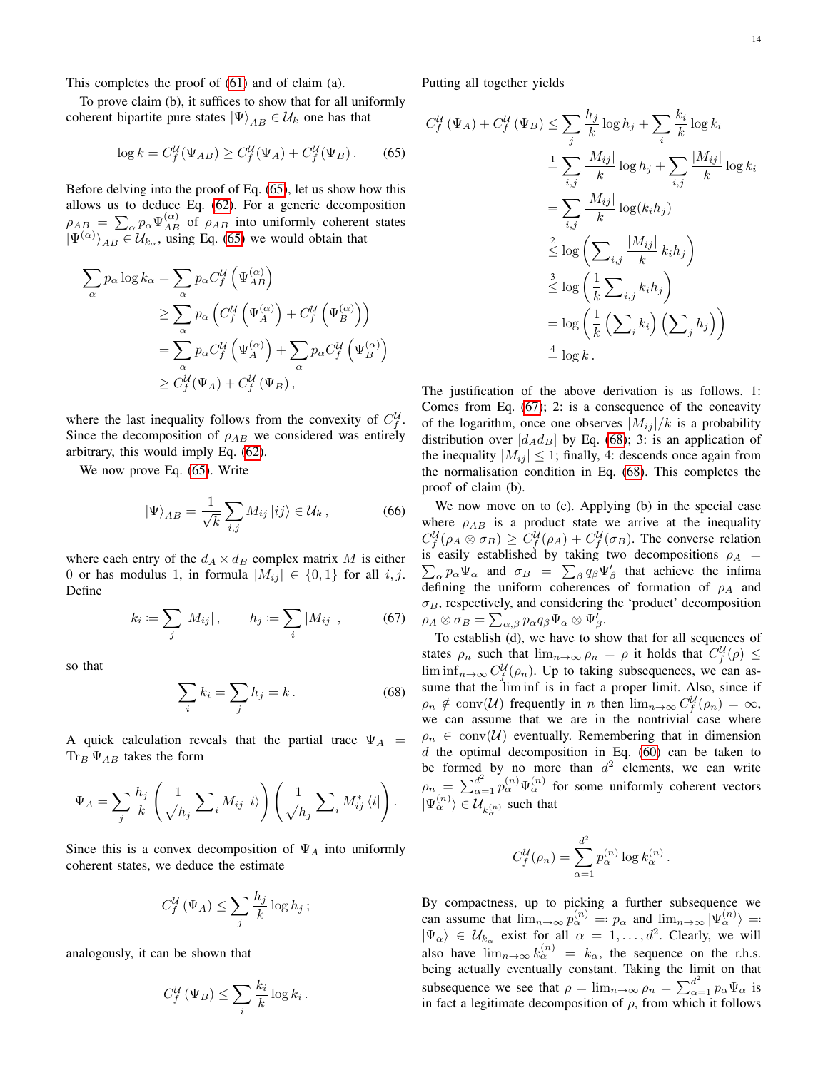This completes the proof of [\(61\)](#page-12-5) and of claim (a).

To prove claim (b), it suffices to show that for all uniformly coherent bipartite pure states  $|\Psi\rangle_{AB} \in \mathcal{U}_k$  one has that

<span id="page-13-0"></span>
$$
\log k = C_f^{\mathcal{U}}(\Psi_{AB}) \ge C_f^{\mathcal{U}}(\Psi_A) + C_f^{\mathcal{U}}(\Psi_B). \tag{65}
$$

Before delving into the proof of Eq. [\(65\)](#page-13-0), let us show how this allows us to deduce Eq. [\(62\)](#page-12-6). For a generic decomposition  $\rho_{AB} = \sum_{\alpha} p_{\alpha} \Psi_{AB}^{(\alpha)}$  of  $\rho_{AB}$  into uniformly coherent states  $|\Psi^{(\alpha)}\rangle_{AB} \in \mathcal{U}_{k_\alpha}$ , using Eq. [\(65\)](#page-13-0) we would obtain that

$$
\sum_{\alpha} p_{\alpha} \log k_{\alpha} = \sum_{\alpha} p_{\alpha} C_f^{\mathcal{U}} \left( \Psi_{AB}^{(\alpha)} \right)
$$
  
\n
$$
\geq \sum_{\alpha} p_{\alpha} \left( C_f^{\mathcal{U}} \left( \Psi_A^{(\alpha)} \right) + C_f^{\mathcal{U}} \left( \Psi_B^{(\alpha)} \right) \right)
$$
  
\n
$$
= \sum_{\alpha} p_{\alpha} C_f^{\mathcal{U}} \left( \Psi_A^{(\alpha)} \right) + \sum_{\alpha} p_{\alpha} C_f^{\mathcal{U}} \left( \Psi_B^{(\alpha)} \right)
$$
  
\n
$$
\geq C_f^{\mathcal{U}}(\Psi_A) + C_f^{\mathcal{U}}(\Psi_B),
$$

where the last inequality follows from the convexity of  $C_f^{\mathcal{U}}$ . Since the decomposition of  $\rho_{AB}$  we considered was entirely arbitrary, this would imply Eq. [\(62\)](#page-12-6).

We now prove Eq. [\(65\)](#page-13-0). Write

$$
\left|\Psi\right\rangle_{AB} = \frac{1}{\sqrt{k}} \sum_{i,j} M_{ij} \left|ij\right\rangle \in \mathcal{U}_k \,, \tag{66}
$$

where each entry of the  $d_A \times d_B$  complex matrix M is either 0 or has modulus 1, in formula  $|M_{ij}| \in \{0,1\}$  for all i, j. Define

<span id="page-13-1"></span>
$$
k_i := \sum_j |M_{ij}|, \qquad h_j := \sum_i |M_{ij}|, \tag{67}
$$

so that

<span id="page-13-2"></span>
$$
\sum_{i} k_i = \sum_{j} h_j = k. \tag{68}
$$

A quick calculation reveals that the partial trace  $\Psi_A$  =  $\text{Tr}_B \Psi_{AB}$  takes the form

$$
\Psi_A = \sum_j \frac{h_j}{k} \left( \frac{1}{\sqrt{h_j}} \sum_i M_{ij} |i\rangle \right) \left( \frac{1}{\sqrt{h_j}} \sum_i M_{ij}^* \langle i| \right).
$$

Since this is a convex decomposition of  $\Psi_A$  into uniformly coherent states, we deduce the estimate

$$
C_f^{\mathcal{U}}\left(\Psi_A\right) \leq \sum_j \frac{h_j}{k} \log h_j\,;
$$

analogously, it can be shown that

$$
C_f^{\mathcal{U}}\left(\Psi_B\right) \leq \sum_i \frac{k_i}{k} \log k_i \,.
$$

Putting all together yields

$$
C_f^{\mathcal{U}}(\Psi_A) + C_f^{\mathcal{U}}(\Psi_B) \le \sum_j \frac{h_j}{k} \log h_j + \sum_i \frac{k_i}{k} \log k_i
$$
  
\n
$$
= \sum_{i,j} \frac{|M_{ij}|}{k} \log h_j + \sum_{i,j} \frac{|M_{ij}|}{k} \log k_i
$$
  
\n
$$
= \sum_{i,j} \frac{|M_{ij}|}{k} \log (k_i h_j)
$$
  
\n
$$
\le \log \left( \sum_{i,j} \frac{|M_{ij}|}{k} k_i h_j \right)
$$
  
\n
$$
\le \log \left( \frac{1}{k} \sum_{i,j} k_i h_j \right)
$$
  
\n
$$
= \log \left( \frac{1}{k} \left( \sum_i k_i \right) \left( \sum_j h_j \right) \right)
$$
  
\n
$$
\frac{4}{k} \log k.
$$

The justification of the above derivation is as follows. 1: Comes from Eq. [\(67\)](#page-13-1); 2: is a consequence of the concavity of the logarithm, once one observes  $|M_{ij}|/k$  is a probability distribution over  $[d_{A}d_{B}]$  by Eq. [\(68\)](#page-13-2); 3: is an application of the inequality  $|M_{ii}| \leq 1$ ; finally, 4: descends once again from the normalisation condition in Eq. [\(68\)](#page-13-2). This completes the proof of claim (b).

We now move on to (c). Applying (b) in the special case where  $\rho_{AB}$  is a product state we arrive at the inequality  $C_f^{\mathcal{U}}(\rho_A \otimes \sigma_B) \geq C_f^{\mathcal{U}}(\rho_A) + C_f^{\mathcal{U}}(\sigma_B)$ . The converse relation is easily established by taking two decompositions  $\rho_A$  =  $\sum_{\alpha} p_{\alpha} \Psi_{\alpha}$  and  $\sigma_B = \sum_{\beta} q_{\beta} \Psi_{\beta}'$  that achieve the infima defining the uniform coherences of formation of  $\rho_A$  and  $\sigma_B$ , respectively, and considering the 'product' decomposition  $\rho_A \otimes \sigma_B = \sum_{\alpha,\beta} p_\alpha q_\beta \Psi_\alpha \otimes \Psi'_\beta.$ 

To establish (d), we have to show that for all sequences of states  $\rho_n$  such that  $\lim_{n\to\infty}\rho_n = \rho$  it holds that  $C_f^{\mathcal{U}}(\rho) \leq$  $\liminf_{n\to\infty} C_f^{\mathcal{U}}(\rho_n)$ . Up to taking subsequences, we can assume that the lim inf is in fact a proper limit. Also, since if  $\rho_n \notin \text{conv}(\mathcal{U})$  frequently in n then  $\lim_{n \to \infty} C_f^{\mathcal{U}}(\rho_n) = \infty$ , we can assume that we are in the nontrivial case where  $\rho_n \in \text{conv}(\mathcal{U})$  eventually. Remembering that in dimension d the optimal decomposition in Eq.  $(60)$  can be taken to be formed by no more than  $d^2$  elements, we can write  $\rho_n = \sum_{\alpha=1}^{d^2} p_\alpha^{(n)} \Psi_\alpha^{(n)}$  for some uniformly coherent vectors  $|\Psi_{\alpha}^{(n)}\rangle \in \mathcal{U}_{k_{\alpha}^{(n)}}$  such that

$$
C_f^{\mathcal{U}}(\rho_n) = \sum_{\alpha=1}^{d^2} p_{\alpha}^{(n)} \log k_{\alpha}^{(n)}.
$$

By compactness, up to picking a further subsequence we can assume that  $\lim_{n\to\infty} p_{\alpha}^{(n)} = p_{\alpha}$  and  $\lim_{n\to\infty} |\Psi_{\alpha}^{(n)} \rangle =$  $|\Psi_{\alpha}\rangle \in \mathcal{U}_{k_{\alpha}}$  exist for all  $\alpha = 1, \ldots, d^2$ . Clearly, we will also have  $\lim_{n\to\infty} k_{\alpha}^{(n)} = k_{\alpha}$ , the sequence on the r.h.s. being actually eventually constant. Taking the limit on that subsequence we see that  $\rho = \lim_{n \to \infty} \rho_n = \sum_{\alpha=1}^{d^2} p_\alpha \Psi_\alpha$  is in fact a legitimate decomposition of  $\rho$ , from which it follows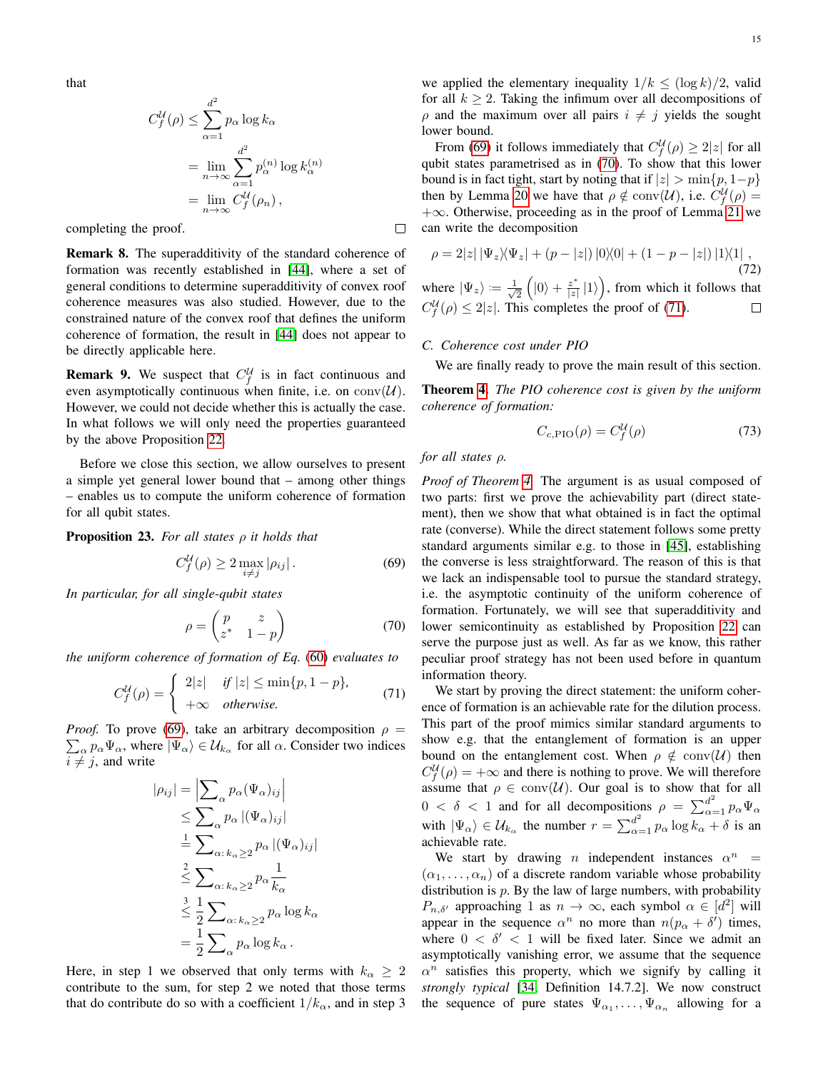that

$$
C_f^{\mathcal{U}}(\rho) \le \sum_{\alpha=1}^{d^2} p_\alpha \log k_\alpha
$$
  
= 
$$
\lim_{n \to \infty} \sum_{\alpha=1}^{d^2} p_\alpha^{(n)} \log k_\alpha^{(n)}
$$
  
= 
$$
\lim_{n \to \infty} C_f^{\mathcal{U}}(\rho_n),
$$

completing the proof.

Remark 8. The superadditivity of the standard coherence of formation was recently established in [\[44\]](#page-18-0), where a set of general conditions to determine superadditivity of convex roof coherence measures was also studied. However, due to the constrained nature of the convex roof that defines the uniform coherence of formation, the result in [\[44\]](#page-18-0) does not appear to be directly applicable here.

**Remark 9.** We suspect that  $C_f^{\mathcal{U}}$  is in fact continuous and even asymptotically continuous when finite, i.e. on  $\text{conv}(\mathcal{U})$ . However, we could not decide whether this is actually the case. In what follows we will only need the properties guaranteed by the above Proposition [22.](#page-12-7)

Before we close this section, we allow ourselves to present a simple yet general lower bound that – among other things – enables us to compute the uniform coherence of formation for all qubit states.

<span id="page-14-5"></span>Proposition 23. *For all states* ρ *it holds that*

<span id="page-14-1"></span>
$$
C_f^{\mathcal{U}}(\rho) \ge 2 \max_{i \ne j} |\rho_{ij}|.
$$
 (69)

*In particular, for all single-qubit states*

<span id="page-14-2"></span>
$$
\rho = \begin{pmatrix} p & z \\ z^* & 1 - p \end{pmatrix} \tag{70}
$$

*the uniform coherence of formation of Eq.* [\(60\)](#page-12-3) *evaluates to*

<span id="page-14-3"></span>
$$
C_f^{\mathcal{U}}(\rho) = \begin{cases} 2|z| & \text{if } |z| \le \min\{p, 1-p\}, \\ +\infty & \text{otherwise.} \end{cases} \tag{71}
$$

*Proof.* To prove [\(69\)](#page-14-1), take an arbitrary decomposition  $\rho =$  $\sum_{\alpha} p_{\alpha} \Psi_{\alpha}$ , where  $|\Psi_{\alpha}\rangle \in \mathcal{U}_{k_{\alpha}}$  for all  $\alpha$ . Consider two indices  $i \neq j$ , and write

$$
|\rho_{ij}| = \left| \sum_{\alpha} p_{\alpha} (\Psi_{\alpha})_{ij} \right|
$$
  
\n
$$
\leq \sum_{\alpha} p_{\alpha} |(\Psi_{\alpha})_{ij}|
$$
  
\n
$$
\frac{1}{\alpha} \sum_{\alpha: k_{\alpha} \geq 2} p_{\alpha} |(\Psi_{\alpha})_{ij}|
$$
  
\n
$$
\frac{2}{\alpha} \sum_{\alpha: k_{\alpha} \geq 2} p_{\alpha} \frac{1}{k_{\alpha}}
$$
  
\n
$$
\frac{3}{2} \sum_{\alpha: k_{\alpha} \geq 2} p_{\alpha} \log k_{\alpha}
$$
  
\n
$$
= \frac{1}{2} \sum_{\alpha} p_{\alpha} \log k_{\alpha}.
$$

Here, in step 1 we observed that only terms with  $k_{\alpha} \geq 2$ contribute to the sum, for step 2 we noted that those terms that do contribute do so with a coefficient  $1/k_{\alpha}$ , and in step 3

we applied the elementary inequality  $1/k \leq (\log k)/2$ , valid for all  $k > 2$ . Taking the infimum over all decompositions of  $\rho$  and the maximum over all pairs  $i \neq j$  yields the sought lower bound.

From [\(69\)](#page-14-1) it follows immediately that  $C_f^{\mathcal{U}}(\rho) \geq 2|z|$  for all qubit states parametrised as in [\(70\)](#page-14-2). To show that this lower bound is in fact tight, start by noting that if  $|z| > \min\{p, 1-p\}$ then by Lemma [20](#page-11-4) we have that  $\rho \notin \text{conv}(\mathcal{U})$ , i.e.  $C_f^{\mathcal{U}}(\rho) =$  $+\infty$ . Otherwise, proceeding as in the proof of Lemma [21](#page-12-2) we can write the decomposition

$$
\rho = 2|z| |\Psi_z\rangle\langle\Psi_z| + (p - |z|) |0\rangle\langle 0| + (1 - p - |z|) |1\rangle\langle 1| ,
$$
\n(72)

 $\frac{1}{2}\left( \left| 0\right\rangle +\frac{z^{\ast }}{\left\vert z\right\vert }% \right) \leq 1\text{.}$  $\left| \frac{z^*}{|z|} |1\rangle \right|$ , from which it follows that where  $|\Psi_z\rangle := \frac{1}{\sqrt{2}}$  $C_f^{\mathcal{U}}(\rho) \leq 2|z|$ . This completes the proof of [\(71\)](#page-14-3).  $\Box$ 

#### <span id="page-14-0"></span>*C. Coherence cost under PIO*

We are finally ready to prove the main result of this section.

<span id="page-14-4"></span>Theorem [4.](#page-3-5) *The PIO coherence cost is given by the uniform coherence of formation:*

$$
C_{c,\text{PIO}}(\rho) = C_f^{\mathcal{U}}(\rho) \tag{73}
$$

*for all states* ρ*.*

 $\Box$ 

*Proof of Theorem [4.](#page-3-5)* The argument is as usual composed of two parts: first we prove the achievability part (direct statement), then we show that what obtained is in fact the optimal rate (converse). While the direct statement follows some pretty standard arguments similar e.g. to those in [\[45\]](#page-18-1), establishing the converse is less straightforward. The reason of this is that we lack an indispensable tool to pursue the standard strategy, i.e. the asymptotic continuity of the uniform coherence of formation. Fortunately, we will see that superadditivity and lower semicontinuity as established by Proposition [22](#page-12-7) can serve the purpose just as well. As far as we know, this rather peculiar proof strategy has not been used before in quantum information theory.

We start by proving the direct statement: the uniform coherence of formation is an achievable rate for the dilution process. This part of the proof mimics similar standard arguments to show e.g. that the entanglement of formation is an upper bound on the entanglement cost. When  $\rho \notin \text{conv}(\mathcal{U})$  then  $C_f^{\mathcal{U}}(\rho) = +\infty$  and there is nothing to prove. We will therefore assume that  $\rho \in \text{conv}(\mathcal{U})$ . Our goal is to show that for all  $0 < \delta < 1$  and for all decompositions  $\rho = \sum_{\alpha=1}^{d^2} p_\alpha \Psi_\alpha$ with  $|\Psi_{\alpha}\rangle \in \mathcal{U}_{k_{\alpha}}$  the number  $r = \sum_{\alpha=1}^{d^2} p_{\alpha} \log \overline{k_{\alpha}} + \delta$  is an achievable rate.

We start by drawing *n* independent instances  $\alpha^n$  =  $(\alpha_1, \ldots, \alpha_n)$  of a discrete random variable whose probability distribution is  $p$ . By the law of large numbers, with probability  $P_{n,\delta'}$  approaching 1 as  $n \to \infty$ , each symbol  $\alpha \in [d^2]$  will appear in the sequence  $\alpha^n$  no more than  $n(p_\alpha + \delta)$  times, where  $0 < \delta' < 1$  will be fixed later. Since we admit an asymptotically vanishing error, we assume that the sequence  $\alpha^n$  satisfies this property, which we signify by calling it *strongly typical* [\[34,](#page-17-33) Definition 14.7.2]. We now construct the sequence of pure states  $\Psi_{\alpha_1}, \dots, \Psi_{\alpha_n}$  allowing for a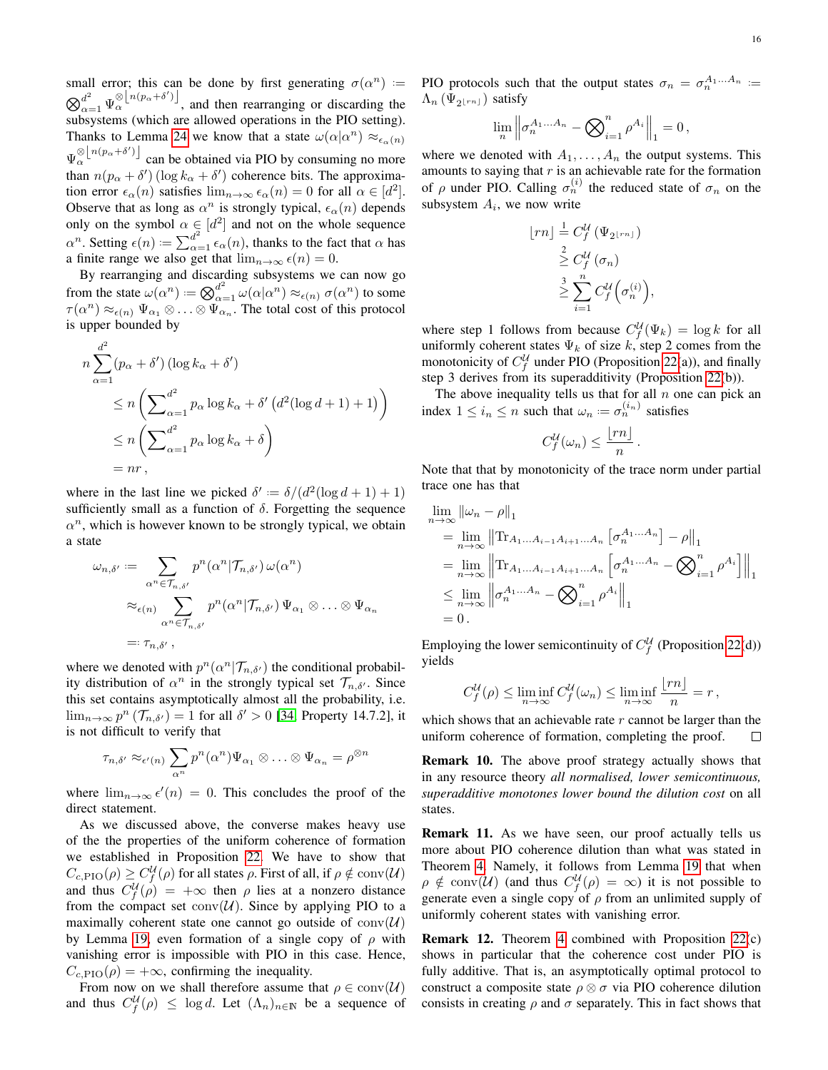small error; this can be done by first generating  $\sigma(\alpha^n)$  :=  $\bigotimes_{\alpha=1}^{d^2} \Psi_{\alpha}^{\otimes \lfloor n(p_{\alpha}+\delta') \rfloor}$ , and then rearranging or discarding the subsystems (which are allowed operations in the PIO setting). Thanks to Lemma [24](#page-14-4) we know that a state  $\omega(\alpha|\alpha^n) \approx_{\epsilon_\alpha(n)}$  $\Psi_{\alpha}^{\otimes [n(p_{\alpha}+\delta')]}\right.$  can be obtained via PIO by consuming no more than  $n(p_\alpha + \delta')$  (log  $k_\alpha + \delta'$ ) coherence bits. The approximation error  $\epsilon_{\alpha}(n)$  satisfies  $\lim_{n\to\infty} \epsilon_{\alpha}(n) = 0$  for all  $\alpha \in [d^2]$ . Observe that as long as  $\alpha^n$  is strongly typical,  $\epsilon_{\alpha}(n)$  depends only on the symbol  $\alpha \in [d^2]$  and not on the whole sequence  $\alpha^n$ . Setting  $\epsilon(n) := \sum_{\alpha=1}^{d^2} \epsilon_\alpha(n)$ , thanks to the fact that  $\alpha$  has a finite range we also get that  $\lim_{n\to\infty} \epsilon(n) = 0$ .

By rearranging and discarding subsystems we can now go from the state  $\omega(\alpha^n) := \bigotimes_{\alpha=1}^{d^2} \omega(\alpha|\alpha^n) \approx_{\epsilon(n)} \sigma(\alpha^n)$  to some  $\tau(\alpha^n) \approx_{\epsilon(n)} \Psi_{\alpha_1} \otimes \ldots \otimes \Psi_{\alpha_n}$ . The total cost of this protocol is upper bounded by

$$
n \sum_{\alpha=1}^{d^2} (p_{\alpha} + \delta') (\log k_{\alpha} + \delta')
$$
  
\n
$$
\leq n \left( \sum_{\alpha=1}^{d^2} p_{\alpha} \log k_{\alpha} + \delta' (d^2 (\log d + 1) + 1) \right)
$$
  
\n
$$
\leq n \left( \sum_{\alpha=1}^{d^2} p_{\alpha} \log k_{\alpha} + \delta \right)
$$
  
\n
$$
= nr,
$$

where in the last line we picked  $\delta' := \delta/(d^2(\log d + 1) + 1)$ sufficiently small as a function of  $\delta$ . Forgetting the sequence  $\alpha^n$ , which is however known to be strongly typical, we obtain a state

$$
\omega_{n,\delta'} := \sum_{\alpha^n \in \mathcal{T}_{n,\delta'}} p^n(\alpha^n | \mathcal{T}_{n,\delta'}) \omega(\alpha^n)
$$

$$
\approx_{\epsilon(n)} \sum_{\alpha^n \in \mathcal{T}_{n,\delta'}} p^n(\alpha^n | \mathcal{T}_{n,\delta'}) \Psi_{\alpha_1} \otimes \ldots \otimes \Psi_{\alpha_n}
$$

$$
=:\tau_{n,\delta'},
$$

where we denoted with  $p^{n}(\alpha^{n} | \mathcal{T}_{n,\delta})$  the conditional probability distribution of  $\alpha^n$  in the strongly typical set  $\mathcal{T}_{n,\delta'}$ . Since this set contains asymptotically almost all the probability, i.e.  $\lim_{n\to\infty} p^n \left( \mathcal{T}_{n,\delta'} \right) = 1$  for all  $\delta' > 0$  [\[34,](#page-17-33) Property 14.7.2], it is not difficult to verify that

$$
\tau_{n,\delta'} \approx_{\epsilon'(n)} \sum_{\alpha^n} p^n(\alpha^n) \Psi_{\alpha_1} \otimes \ldots \otimes \Psi_{\alpha_n} = \rho^{\otimes n}
$$

where  $\lim_{n\to\infty} \epsilon'(n) = 0$ . This concludes the proof of the direct statement.

As we discussed above, the converse makes heavy use of the the properties of the uniform coherence of formation we established in Proposition [22.](#page-12-7) We have to show that  $C_{c,\text{PIO}}(\rho) \ge C_f^{\mathcal U}(\rho)$  for all states  $\rho$ . First of all, if  $\rho \notin \text{conv}(\mathcal U)$ and thus  $C_f^{\mathcal{U}}(\rho) = +\infty$  then  $\rho$  lies at a nonzero distance from the compact set  $conv(U)$ . Since by applying PIO to a maximally coherent state one cannot go outside of  $conv(U)$ by Lemma [19,](#page-11-3) even formation of a single copy of  $\rho$  with vanishing error is impossible with PIO in this case. Hence,  $C_{c, \text{PIO}}(\rho) = +\infty$ , confirming the inequality.

From now on we shall therefore assume that  $\rho \in \text{conv}(\mathcal{U})$ and thus  $C_f^{\mathcal{U}}(\rho) \leq \log d$ . Let  $(\Lambda_n)_{n \in \mathbb{N}}$  be a sequence of PIO protocols such that the output states  $\sigma_n = \sigma_n^{A_1...A_n}$  :=  $\Lambda_n\left(\Psi_{2\lfloor rn\rfloor}\right)$  satisfy

$$
\lim_{n} \left\| \sigma_n^{A_1...A_n} - \bigotimes_{i=1}^n \rho^{A_i} \right\|_1 = 0,
$$

where we denoted with  $A_1, \ldots, A_n$  the output systems. This amounts to saying that  $r$  is an achievable rate for the formation of  $\rho$  under PIO. Calling  $\sigma_n^{(i)}$  the reduced state of  $\sigma_n$  on the subsystem  $A_i$ , we now write

$$
\lfloor rn \rfloor \stackrel{1}{=} C_f^{\mathcal{U}} \left( \Psi_{2\lfloor rn \rfloor} \right) \n\stackrel{2}{\geq} C_f^{\mathcal{U}} \left( \sigma_n \right) \n\stackrel{3}{\geq} \sum_{i=1}^n C_f^{\mathcal{U}} \left( \sigma_n^{(i)} \right),
$$

where step 1 follows from because  $C_f^{\mathcal{U}}(\Psi_k) = \log k$  for all uniformly coherent states  $\Psi_k$  of size k, step 2 comes from the monotonicity of  $C_f^{\mathcal{U}}$  under PIO (Proposition [22\(](#page-12-7)a)), and finally step 3 derives from its superadditivity (Proposition [22\(](#page-12-7)b)).

The above inequality tells us that for all  $n$  one can pick an index  $1 \leq i_n \leq n$  such that  $\omega_n := \sigma_n^{(i_n)}$  satisfies

$$
C_f^{\mathcal{U}}(\omega_n) \le \frac{\lfloor rn \rfloor}{n}
$$

.

Note that that by monotonicity of the trace norm under partial trace one has that

$$
\lim_{n \to \infty} ||\omega_n - \rho||_1
$$
\n
$$
= \lim_{n \to \infty} ||\text{Tr}_{A_1...A_{i-1}A_{i+1}...A_n} [\sigma_n^{A_1...A_n}] - \rho||_1
$$
\n
$$
= \lim_{n \to \infty} ||\text{Tr}_{A_1...A_{i-1}A_{i+1}...A_n} [\sigma_n^{A_1...A_n} - \bigotimes_{i=1}^n \rho^{A_i}]||_1
$$
\n
$$
\leq \lim_{n \to \infty} ||\sigma_n^{A_1...A_n} - \bigotimes_{i=1}^n \rho^{A_i}||_1
$$
\n
$$
= 0.
$$

Employing the lower semicontinuity of  $C_f^{\mathcal{U}}$  (Proposition [22\(](#page-12-7)d)) yields

$$
C_f^{\mathcal{U}}(\rho) \le \liminf_{n \to \infty} C_f^{\mathcal{U}}(\omega_n) \le \liminf_{n \to \infty} \frac{\lfloor rn \rfloor}{n} = r,
$$

which shows that an achievable rate  $r$  cannot be larger than the uniform coherence of formation, completing the proof.  $\Box$ 

Remark 10. The above proof strategy actually shows that in any resource theory *all normalised, lower semicontinuous, superadditive monotones lower bound the dilution cost* on all states.

**Remark 11.** As we have seen, our proof actually tells us more about PIO coherence dilution than what was stated in Theorem [4.](#page-3-5) Namely, it follows from Lemma [19](#page-11-3) that when  $\rho \notin \text{conv}(\mathcal{U})$  (and thus  $C_f^{\mathcal{U}}(\rho) = \infty$ ) it is not possible to generate even a single copy of  $\rho$  from an unlimited supply of uniformly coherent states with vanishing error.

Remark 12. Theorem [4](#page-3-5) combined with Proposition [22\(](#page-12-7)c) shows in particular that the coherence cost under PIO is fully additive. That is, an asymptotically optimal protocol to construct a composite state  $\rho \otimes \sigma$  via PIO coherence dilution consists in creating  $\rho$  and  $\sigma$  separately. This in fact shows that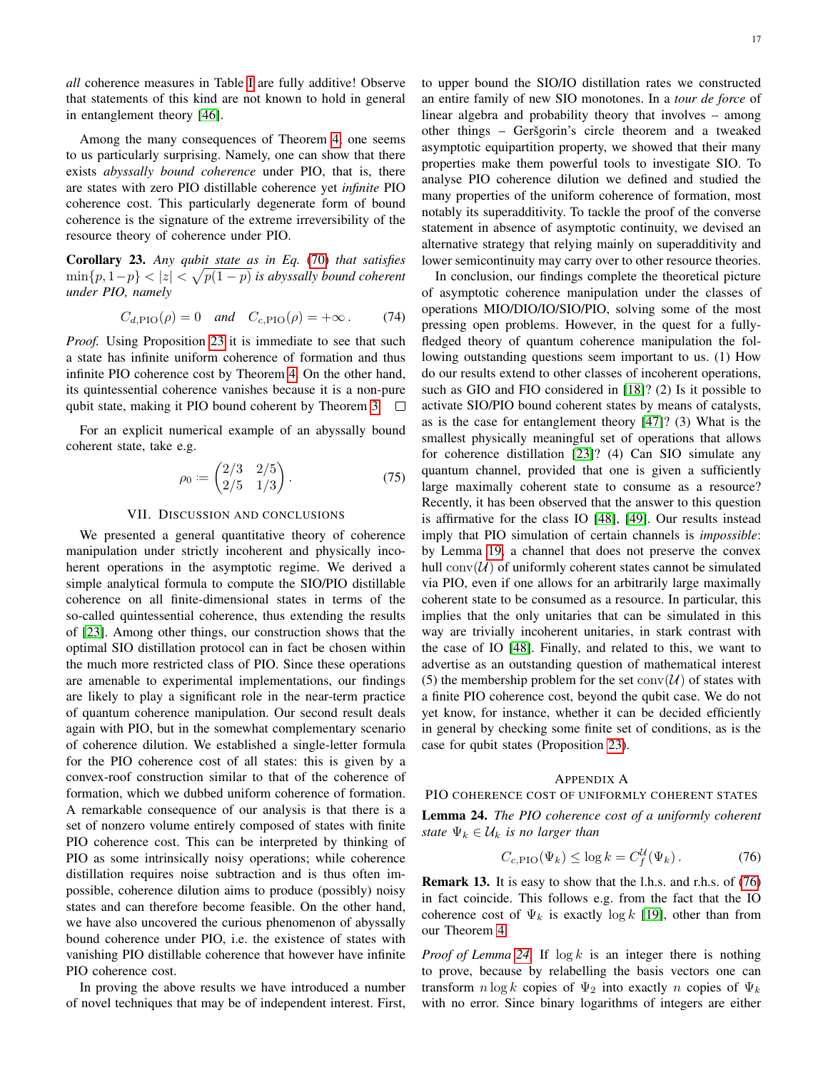*all* coherence measures in Table [I](#page-1-0) are fully additive! Observe that statements of this kind are not known to hold in general in entanglement theory [\[46\]](#page-18-2).

Among the many consequences of Theorem [4,](#page-3-5) one seems to us particularly surprising. Namely, one can show that there exists *abyssally bound coherence* under PIO, that is, there are states with zero PIO distillable coherence yet *infinite* PIO coherence cost. This particularly degenerate form of bound coherence is the signature of the extreme irreversibility of the resource theory of coherence under PIO.

Corollary 23. *Any qubit state as in Eq.* [\(70\)](#page-14-2) *that satisfies* min{p, 1−p} < |z| < p p(1 − p) *is abyssally bound coherent under PIO, namely*

$$
C_{d,\text{PIO}}(\rho) = 0 \quad \text{and} \quad C_{c,\text{PIO}}(\rho) = +\infty. \tag{74}
$$

*Proof.* Using Proposition [23](#page-14-5) it is immediate to see that such a state has infinite uniform coherence of formation and thus infinite PIO coherence cost by Theorem [4.](#page-3-5) On the other hand, its quintessential coherence vanishes because it is a non-pure qubit state, making it PIO bound coherent by Theorem [3.](#page-3-4)  $\Box$ 

For an explicit numerical example of an abyssally bound coherent state, take e.g.

$$
\rho_0 := \begin{pmatrix} 2/3 & 2/5 \\ 2/5 & 1/3 \end{pmatrix} . \tag{75}
$$

# VII. DISCUSSION AND CONCLUSIONS

<span id="page-16-0"></span>We presented a general quantitative theory of coherence manipulation under strictly incoherent and physically incoherent operations in the asymptotic regime. We derived a simple analytical formula to compute the SIO/PIO distillable coherence on all finite-dimensional states in terms of the so-called quintessential coherence, thus extending the results of [\[23\]](#page-17-22). Among other things, our construction shows that the optimal SIO distillation protocol can in fact be chosen within the much more restricted class of PIO. Since these operations are amenable to experimental implementations, our findings are likely to play a significant role in the near-term practice of quantum coherence manipulation. Our second result deals again with PIO, but in the somewhat complementary scenario of coherence dilution. We established a single-letter formula for the PIO coherence cost of all states: this is given by a convex-roof construction similar to that of the coherence of formation, which we dubbed uniform coherence of formation. A remarkable consequence of our analysis is that there is a set of nonzero volume entirely composed of states with finite PIO coherence cost. This can be interpreted by thinking of PIO as some intrinsically noisy operations; while coherence distillation requires noise subtraction and is thus often impossible, coherence dilution aims to produce (possibly) noisy states and can therefore become feasible. On the other hand, we have also uncovered the curious phenomenon of abyssally bound coherence under PIO, i.e. the existence of states with vanishing PIO distillable coherence that however have infinite PIO coherence cost.

In proving the above results we have introduced a number of novel techniques that may be of independent interest. First, to upper bound the SIO/IO distillation rates we constructed an entire family of new SIO monotones. In a *tour de force* of linear algebra and probability theory that involves – among other things – Geršgorin's circle theorem and a tweaked asymptotic equipartition property, we showed that their many properties make them powerful tools to investigate SIO. To analyse PIO coherence dilution we defined and studied the many properties of the uniform coherence of formation, most notably its superadditivity. To tackle the proof of the converse statement in absence of asymptotic continuity, we devised an alternative strategy that relying mainly on superadditivity and lower semicontinuity may carry over to other resource theories.

In conclusion, our findings complete the theoretical picture of asymptotic coherence manipulation under the classes of operations MIO/DIO/IO/SIO/PIO, solving some of the most pressing open problems. However, in the quest for a fullyfledged theory of quantum coherence manipulation the following outstanding questions seem important to us. (1) How do our results extend to other classes of incoherent operations, such as GIO and FIO considered in [\[18\]](#page-17-17)? (2) Is it possible to activate SIO/PIO bound coherent states by means of catalysts, as is the case for entanglement theory [\[47\]](#page-18-3)? (3) What is the smallest physically meaningful set of operations that allows for coherence distillation [\[23\]](#page-17-22)? (4) Can SIO simulate any quantum channel, provided that one is given a sufficiently large maximally coherent state to consume as a resource? Recently, it has been observed that the answer to this question is affirmative for the class IO [\[48\]](#page-18-4), [\[49\]](#page-18-5). Our results instead imply that PIO simulation of certain channels is *impossible*: by Lemma [19,](#page-11-3) a channel that does not preserve the convex hull conv $(\mathcal{U})$  of uniformly coherent states cannot be simulated via PIO, even if one allows for an arbitrarily large maximally coherent state to be consumed as a resource. In particular, this implies that the only unitaries that can be simulated in this way are trivially incoherent unitaries, in stark contrast with the case of IO [\[48\]](#page-18-4). Finally, and related to this, we want to advertise as an outstanding question of mathematical interest (5) the membership problem for the set  $conv(\mathcal{U})$  of states with a finite PIO coherence cost, beyond the qubit case. We do not yet know, for instance, whether it can be decided efficiently in general by checking some finite set of conditions, as is the case for qubit states (Proposition [23\)](#page-14-5).

# APPENDIX A

## PIO COHERENCE COST OF UNIFORMLY COHERENT STATES

Lemma 24. *The PIO coherence cost of a uniformly coherent state*  $\Psi_k \in \mathcal{U}_k$  *is no larger than* 

<span id="page-16-1"></span>
$$
C_{c,\text{PIO}}(\Psi_k) \le \log k = C_f^{\mathcal{U}}(\Psi_k). \tag{76}
$$

Remark 13. It is easy to show that the l.h.s. and r.h.s. of [\(76\)](#page-16-1) in fact coincide. This follows e.g. from the fact that the IO coherence cost of  $\Psi_k$  is exactly log k [\[19\]](#page-17-18), other than from our Theorem [4.](#page-3-5)

*Proof of Lemma* [24.](#page-14-4) If  $\log k$  is an integer there is nothing to prove, because by relabelling the basis vectors one can transform  $n \log k$  copies of  $\Psi_2$  into exactly n copies of  $\Psi_k$ with no error. Since binary logarithms of integers are either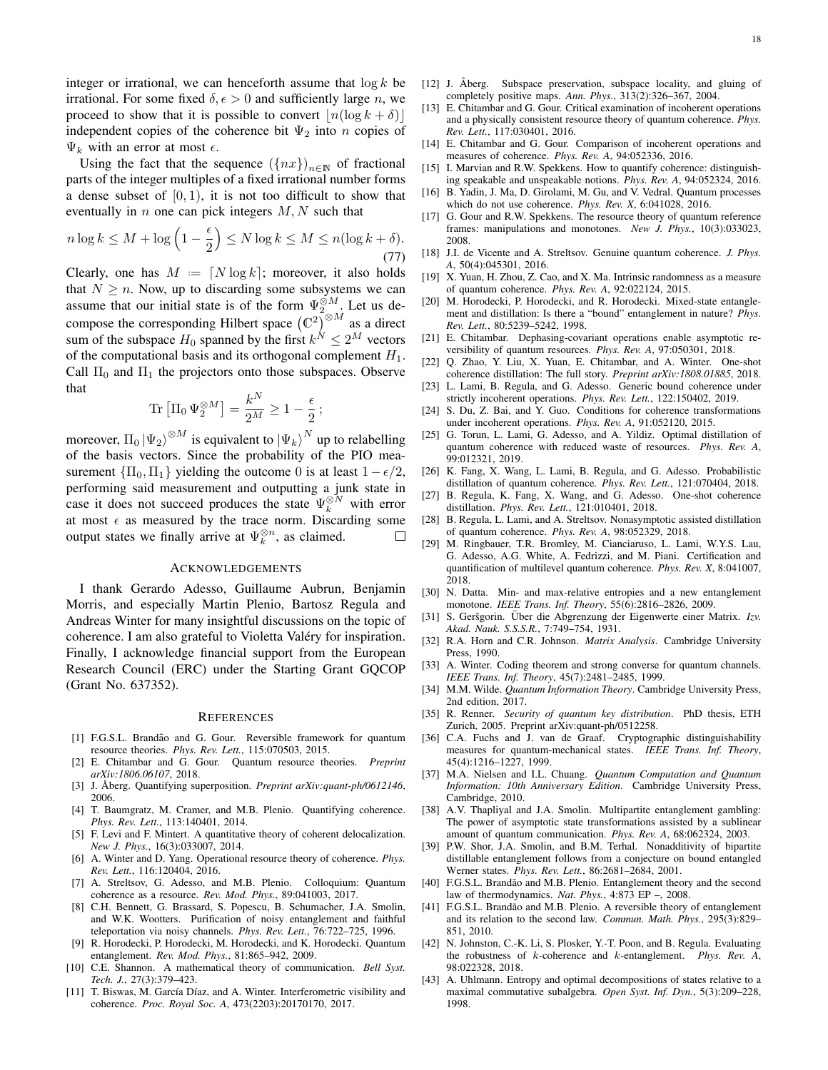integer or irrational, we can henceforth assume that  $\log k$  be irrational. For some fixed  $\delta, \epsilon > 0$  and sufficiently large *n*, we proceed to show that it is possible to convert  $\left|n(\log k + \delta)\right|$ independent copies of the coherence bit  $\Psi_2$  into n copies of  $\Psi_k$  with an error at most  $\epsilon$ .

Using the fact that the sequence  $({nx})_{n\in\mathbb{N}}$  of fractional parts of the integer multiples of a fixed irrational number forms a dense subset of  $[0, 1)$ , it is not too difficult to show that eventually in  $n$  one can pick integers  $M, N$  such that

$$
n\log k \le M + \log\left(1 - \frac{\epsilon}{2}\right) \le N\log k \le M \le n(\log k + \delta). \tag{77}
$$

Clearly, one has  $M = \lfloor N \log k \rfloor$ ; moreover, it also holds that  $N \geq n$ . Now, up to discarding some subsystems we can assume that our initial state is of the form  $\Psi_{2}^{\otimes M}$ . Let us decompose the corresponding Hilbert space  $(\mathbb{C}^2)^{\otimes M}$  as a direct sum of the subspace  $H_0$  spanned by the first  $k^N \leq 2^M$  vectors of the computational basis and its orthogonal complement  $H_1$ . Call  $\Pi_0$  and  $\Pi_1$  the projectors onto those subspaces. Observe that

$$
\operatorname{Tr}\left[\Pi_0 \Psi_2^{\otimes M}\right] = \frac{k^N}{2^M} \ge 1 - \frac{\epsilon}{2};
$$

moreover,  $\Pi_0 \ket{\Psi_2}^{\otimes M}$  is equivalent to  $\ket{\Psi_k}^N$  up to relabelling of the basis vectors. Since the probability of the PIO measurement  $\{\Pi_0, \Pi_1\}$  yielding the outcome 0 is at least  $1-\epsilon/2$ , performing said measurement and outputting a junk state in case it does not succeed produces the state  $\Psi_k^{\otimes N}$  with error at most  $\epsilon$  as measured by the trace norm. Discarding some output states we finally arrive at  $\Psi_k^{\otimes n}$ , as claimed.  $\Box$ 

# ACKNOWLEDGEMENTS

I thank Gerardo Adesso, Guillaume Aubrun, Benjamin Morris, and especially Martin Plenio, Bartosz Regula and Andreas Winter for many insightful discussions on the topic of coherence. I am also grateful to Violetta Valéry for inspiration. Finally, I acknowledge financial support from the European Research Council (ERC) under the Starting Grant GQCOP (Grant No. 637352).

#### **REFERENCES**

- <span id="page-17-0"></span>[1] F.G.S.L. Brandão and G. Gour. Reversible framework for quantum resource theories. *Phys. Rev. Lett.*, 115:070503, 2015.
- <span id="page-17-1"></span>[2] E. Chitambar and G. Gour. Quantum resource theories. *Preprint arXiv:1806.06107*, 2018.
- <span id="page-17-2"></span>[3] J. Åberg. Quantifying superposition. *Preprint arXiv:quant-ph/0612146*, 2006.
- <span id="page-17-3"></span>[4] T. Baumgratz, M. Cramer, and M.B. Plenio. Quantifying coherence. *Phys. Rev. Lett.*, 113:140401, 2014.
- <span id="page-17-4"></span>[5] F. Levi and F. Mintert. A quantitative theory of coherent delocalization. *New J. Phys.*, 16(3):033007, 2014.
- <span id="page-17-5"></span>[6] A. Winter and D. Yang. Operational resource theory of coherence. *Phys. Rev. Lett.*, 116:120404, 2016.
- <span id="page-17-6"></span>[7] A. Streltsov, G. Adesso, and M.B. Plenio. Colloquium: Quantum coherence as a resource. *Rev. Mod. Phys.*, 89:041003, 2017.
- <span id="page-17-7"></span>[8] C.H. Bennett, G. Brassard, S. Popescu, B. Schumacher, J.A. Smolin, and W.K. Wootters. Purification of noisy entanglement and faithful teleportation via noisy channels. *Phys. Rev. Lett.*, 76:722–725, 1996.
- <span id="page-17-8"></span>[9] R. Horodecki, P. Horodecki, M. Horodecki, and K. Horodecki. Quantum entanglement. *Rev. Mod. Phys.*, 81:865–942, 2009.
- <span id="page-17-9"></span>[10] C.E. Shannon. A mathematical theory of communication. *Bell Syst. Tech. J.*, 27(3):379–423.
- <span id="page-17-10"></span>[11] T. Biswas, M. García Díaz, and A. Winter. Interferometric visibility and coherence. *Proc. Royal Soc. A*, 473(2203):20170170, 2017.
- <span id="page-17-11"></span>[12] J. Åberg. Subspace preservation, subspace locality, and gluing of completely positive maps. *Ann. Phys.*, 313(2):326–367, 2004.
- <span id="page-17-12"></span>[13] E. Chitambar and G. Gour. Critical examination of incoherent operations and a physically consistent resource theory of quantum coherence. *Phys. Rev. Lett.*, 117:030401, 2016.
- <span id="page-17-13"></span>[14] E. Chitambar and G. Gour. Comparison of incoherent operations and measures of coherence. *Phys. Rev. A*, 94:052336, 2016.
- <span id="page-17-14"></span>[15] I. Marvian and R.W. Spekkens. How to quantify coherence: distinguishing speakable and unspeakable notions. *Phys. Rev. A*, 94:052324, 2016.
- <span id="page-17-15"></span>[16] B. Yadin, J. Ma, D. Girolami, M. Gu, and V. Vedral. Quantum processes which do not use coherence. *Phys. Rev. X*, 6:041028, 2016.
- <span id="page-17-16"></span>[17] G. Gour and R.W. Spekkens. The resource theory of quantum reference frames: manipulations and monotones. *New J. Phys.*, 10(3):033023, 2008.
- <span id="page-17-17"></span>[18] J.I. de Vicente and A. Streltsov. Genuine quantum coherence. *J. Phys. A*, 50(4):045301, 2016.
- <span id="page-17-18"></span>[19] X. Yuan, H. Zhou, Z. Cao, and X. Ma. Intrinsic randomness as a measure of quantum coherence. *Phys. Rev. A*, 92:022124, 2015.
- <span id="page-17-19"></span>[20] M. Horodecki, P. Horodecki, and R. Horodecki. Mixed-state entanglement and distillation: Is there a "bound" entanglement in nature? *Phys. Rev. Lett.*, 80:5239–5242, 1998.
- <span id="page-17-20"></span>[21] E. Chitambar. Dephasing-covariant operations enable asymptotic reversibility of quantum resources. *Phys. Rev. A*, 97:050301, 2018.
- <span id="page-17-21"></span>[22] Q. Zhao, Y. Liu, X. Yuan, E. Chitambar, and A. Winter. One-shot coherence distillation: The full story. *Preprint arXiv:1808.01885*, 2018.
- <span id="page-17-22"></span>[23] L. Lami, B. Regula, and G. Adesso. Generic bound coherence under strictly incoherent operations. *Phys. Rev. Lett.*, 122:150402, 2019.
- <span id="page-17-23"></span>[24] S. Du, Z. Bai, and Y. Guo. Conditions for coherence transformations under incoherent operations. *Phys. Rev. A*, 91:052120, 2015.
- <span id="page-17-24"></span>[25] G. Torun, L. Lami, G. Adesso, and A. Yildiz. Optimal distillation of quantum coherence with reduced waste of resources. *Phys. Rev. A*, 99:012321, 2019.
- <span id="page-17-25"></span>[26] K. Fang, X. Wang, L. Lami, B. Regula, and G. Adesso. Probabilistic distillation of quantum coherence. *Phys. Rev. Lett.*, 121:070404, 2018.
- <span id="page-17-26"></span>[27] B. Regula, K. Fang, X. Wang, and G. Adesso. One-shot coherence distillation. *Phys. Rev. Lett.*, 121:010401, 2018.
- <span id="page-17-27"></span>[28] B. Regula, L. Lami, and A. Streltsov. Nonasymptotic assisted distillation of quantum coherence. *Phys. Rev. A*, 98:052329, 2018.
- <span id="page-17-28"></span>[29] M. Ringbauer, T.R. Bromley, M. Cianciaruso, L. Lami, W.Y.S. Lau, G. Adesso, A.G. White, A. Fedrizzi, and M. Piani. Certification and quantification of multilevel quantum coherence. *Phys. Rev. X*, 8:041007, 2018.
- <span id="page-17-29"></span>[30] N. Datta. Min- and max-relative entropies and a new entanglement monotone. *IEEE Trans. Inf. Theory*, 55(6):2816–2826, 2009.
- <span id="page-17-30"></span>[31] S. Geršgorin. Über die Abgrenzung der Eigenwerte einer Matrix. Izv. *Akad. Nauk. S.S.S.R.*, 7:749–754, 1931.
- <span id="page-17-31"></span>[32] R.A. Horn and C.R. Johnson. *Matrix Analysis*. Cambridge University Press, 1990.
- <span id="page-17-32"></span>[33] A. Winter. Coding theorem and strong converse for quantum channels. *IEEE Trans. Inf. Theory*, 45(7):2481–2485, 1999.
- <span id="page-17-33"></span>[34] M.M. Wilde. *Quantum Information Theory*. Cambridge University Press, 2nd edition, 2017.
- <span id="page-17-34"></span>[35] R. Renner. *Security of quantum key distribution*. PhD thesis, ETH Zurich, 2005. Preprint arXiv:quant-ph/0512258.
- <span id="page-17-35"></span>[36] C.A. Fuchs and J. van de Graaf. Cryptographic distinguishability measures for quantum-mechanical states. *IEEE Trans. Inf. Theory*, 45(4):1216–1227, 1999.
- <span id="page-17-36"></span>[37] M.A. Nielsen and I.L. Chuang. *Quantum Computation and Quantum Information: 10th Anniversary Edition*. Cambridge University Press, Cambridge, 2010.
- <span id="page-17-37"></span>[38] A.V. Thapliyal and J.A. Smolin. Multipartite entanglement gambling: The power of asymptotic state transformations assisted by a sublinear amount of quantum communication. *Phys. Rev. A*, 68:062324, 2003.
- <span id="page-17-38"></span>[39] P.W. Shor, J.A. Smolin, and B.M. Terhal. Nonadditivity of bipartite distillable entanglement follows from a conjecture on bound entangled Werner states. *Phys. Rev. Lett.*, 86:2681–2684, 2001.
- <span id="page-17-39"></span>[40] F.G.S.L. Brandão and M.B. Plenio. Entanglement theory and the second law of thermodynamics. *Nat. Phys.*, 4:873 EP –, 2008.
- <span id="page-17-40"></span>[41] F.G.S.L. Brandão and M.B. Plenio. A reversible theory of entanglement and its relation to the second law. *Commun. Math. Phys.*, 295(3):829– 851, 2010.
- <span id="page-17-41"></span>[42] N. Johnston, C.-K. Li, S. Plosker, Y.-T. Poon, and B. Regula. Evaluating the robustness of k-coherence and k-entanglement. *Phys. Rev. A*, 98:022328, 2018.
- <span id="page-17-42"></span>[43] A. Uhlmann. Entropy and optimal decompositions of states relative to a maximal commutative subalgebra. *Open Syst. Inf. Dyn.*, 5(3):209–228, 1998.